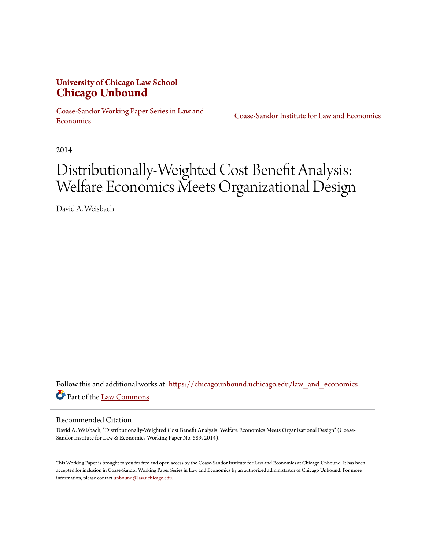# **University of Chicago Law School [Chicago Unbound](https://chicagounbound.uchicago.edu?utm_source=chicagounbound.uchicago.edu%2Flaw_and_economics%2F710&utm_medium=PDF&utm_campaign=PDFCoverPages)**

[Coase-Sandor Working Paper Series in Law and](https://chicagounbound.uchicago.edu/law_and_economics?utm_source=chicagounbound.uchicago.edu%2Flaw_and_economics%2F710&utm_medium=PDF&utm_campaign=PDFCoverPages) [Economics](https://chicagounbound.uchicago.edu/law_and_economics?utm_source=chicagounbound.uchicago.edu%2Flaw_and_economics%2F710&utm_medium=PDF&utm_campaign=PDFCoverPages)

[Coase-Sandor Institute for Law and Economics](https://chicagounbound.uchicago.edu/coase_sandor_institute?utm_source=chicagounbound.uchicago.edu%2Flaw_and_economics%2F710&utm_medium=PDF&utm_campaign=PDFCoverPages)

2014

# Distributionally-Weighted Cost Benefit Analysis: Welfare Economics Meets Organizational Design

David A. Weisbach

Follow this and additional works at: [https://chicagounbound.uchicago.edu/law\\_and\\_economics](https://chicagounbound.uchicago.edu/law_and_economics?utm_source=chicagounbound.uchicago.edu%2Flaw_and_economics%2F710&utm_medium=PDF&utm_campaign=PDFCoverPages) Part of the [Law Commons](http://network.bepress.com/hgg/discipline/578?utm_source=chicagounbound.uchicago.edu%2Flaw_and_economics%2F710&utm_medium=PDF&utm_campaign=PDFCoverPages)

#### Recommended Citation

David A. Weisbach, "Distributionally-Weighted Cost Benefit Analysis: Welfare Economics Meets Organizational Design" (Coase-Sandor Institute for Law & Economics Working Paper No. 689, 2014).

This Working Paper is brought to you for free and open access by the Coase-Sandor Institute for Law and Economics at Chicago Unbound. It has been accepted for inclusion in Coase-Sandor Working Paper Series in Law and Economics by an authorized administrator of Chicago Unbound. For more information, please contact [unbound@law.uchicago.edu.](mailto:unbound@law.uchicago.edu)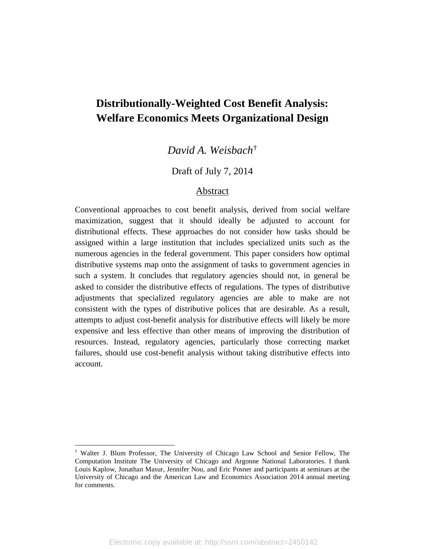# **Distributionally-Weighted Cost Benefit Analysis: Welfare Economics Meets Organizational Design**

*David A. Weisbach*[†](#page-40-0)

# Draft of July 7, 2014

### Abstract

Conventional approaches to cost benefit analysis, derived from social welfare maximization, suggest that it should ideally be adjusted to account for distributional effects. These approaches do not consider how tasks should be assigned within a large institution that includes specialized units such as the numerous agencies in the federal government. This paper considers how optimal distributive systems map onto the assignment of tasks to government agencies in such a system. It concludes that regulatory agencies should not, in general be asked to consider the distributive effects of regulations. The types of distributive adjustments that specialized regulatory agencies are able to make are not consistent with the types of distributive polices that are desirable. As a result, attempts to adjust cost-benefit analysis for distributive effects will likely be more expensive and less effective than other means of improving the distribution of resources. Instead, regulatory agencies, particularly those correcting market failures, should use cost-benefit analysis without taking distributive effects into account.

<sup>†</sup> Walter J. Blum Professor, The University of Chicago Law School and Senior Fellow, The Computation Institute The University of Chicago and Argonne National Laboratories. I thank Louis Kaplow, Jonathan Masur, Jennifer Nou, and Eric Posner and participants at seminars at the University of Chicago and the American Law and Economics Association 2014 annual meeting for comments.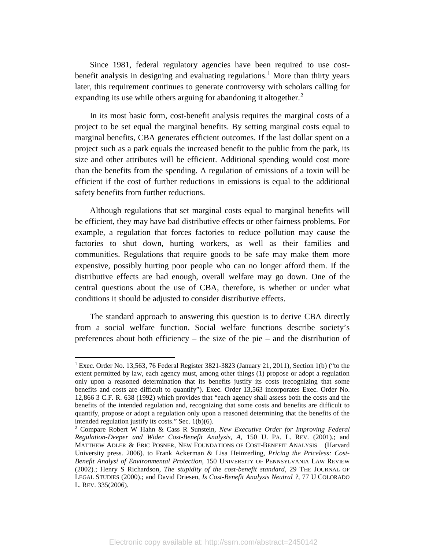Since 1981, federal regulatory agencies have been required to use cost-benefit analysis in designing and evaluating regulations.<sup>[1](#page-2-0)</sup> More than thirty years later, this requirement continues to generate controversy with scholars calling for expanding its use while others arguing for abandoning it altogether.<sup>[2](#page-2-1)</sup>

In its most basic form, cost-benefit analysis requires the marginal costs of a project to be set equal the marginal benefits. By setting marginal costs equal to marginal benefits, CBA generates efficient outcomes. If the last dollar spent on a project such as a park equals the increased benefit to the public from the park, its size and other attributes will be efficient. Additional spending would cost more than the benefits from the spending. A regulation of emissions of a toxin will be efficient if the cost of further reductions in emissions is equal to the additional safety benefits from further reductions.

Although regulations that set marginal costs equal to marginal benefits will be efficient, they may have bad distributive effects or other fairness problems. For example, a regulation that forces factories to reduce pollution may cause the factories to shut down, hurting workers, as well as their families and communities. Regulations that require goods to be safe may make them more expensive, possibly hurting poor people who can no longer afford them. If the distributive effects are bad enough, overall welfare may go down. One of the central questions about the use of CBA, therefore, is whether or under what conditions it should be adjusted to consider distributive effects.

The standard approach to answering this question is to derive CBA directly from a social welfare function. Social welfare functions describe society's preferences about both efficiency – the size of the pie – and the distribution of

<span id="page-2-0"></span><sup>&</sup>lt;sup>1</sup> Exec. Order No. 13,563, 76 Federal Register  $3821-3823$  (January 21, 2011), Section 1(b) ("to the extent permitted by law, each agency must, among other things (1) propose or adopt a regulation only upon a reasoned determination that its benefits justify its costs (recognizing that some benefits and costs are difficult to quantify"). Exec. Order 13,563 incorporates Exec. Order No. 12,866 3 C.F. R. 638 (1992) which provides that "each agency shall assess both the costs and the benefits of the intended regulation and, recognizing that some costs and benefits are difficult to quantify, propose or adopt a regulation only upon a reasoned determining that the benefits of the intended regulation justify its costs." Sec. 1(b)(6).

<span id="page-2-1"></span><sup>2</sup> Compare Robert W Hahn & Cass R Sunstein, *New Executive Order for Improving Federal Regulation-Deeper and Wider Cost-Benefit Analysis, A*, 150 U. PA. L. REV. (2001).; and MATTHEW ADLER & ERIC POSNER, NEW FOUNDATIONS OF COST-BENEFIT ANALYSIS (Harvard University press. 2006). to Frank Ackerman & Lisa Heinzerling, *Pricing the Priceless: Cost-Benefit Analysi of Environmental Protection*, 150 UNIVERSITY OF PENNSYLVANIA LAW REVIEW (2002).; Henry S Richardson, *The stupidity of the cost-benefit standard*, 29 THE JOURNAL OF LEGAL STUDIES (2000).; and David Driesen, *Is Cost-Benefit Analysis Neutral ?*, 77 U COLORADO L. REV. 335(2006).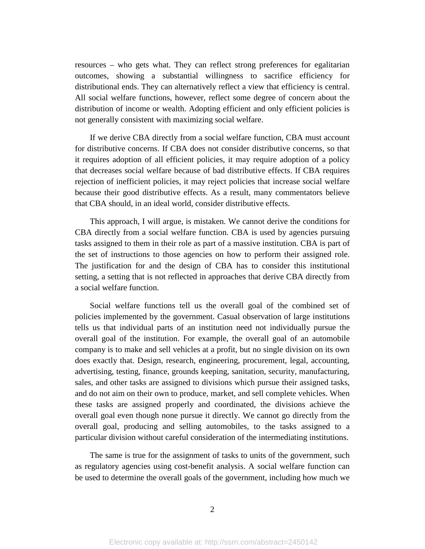resources – who gets what. They can reflect strong preferences for egalitarian outcomes, showing a substantial willingness to sacrifice efficiency for distributional ends. They can alternatively reflect a view that efficiency is central. All social welfare functions, however, reflect some degree of concern about the distribution of income or wealth. Adopting efficient and only efficient policies is not generally consistent with maximizing social welfare.

If we derive CBA directly from a social welfare function, CBA must account for distributive concerns. If CBA does not consider distributive concerns, so that it requires adoption of all efficient policies, it may require adoption of a policy that decreases social welfare because of bad distributive effects. If CBA requires rejection of inefficient policies, it may reject policies that increase social welfare because their good distributive effects. As a result, many commentators believe that CBA should, in an ideal world, consider distributive effects.

This approach, I will argue, is mistaken. We cannot derive the conditions for CBA directly from a social welfare function. CBA is used by agencies pursuing tasks assigned to them in their role as part of a massive institution. CBA is part of the set of instructions to those agencies on how to perform their assigned role. The justification for and the design of CBA has to consider this institutional setting, a setting that is not reflected in approaches that derive CBA directly from a social welfare function.

Social welfare functions tell us the overall goal of the combined set of policies implemented by the government. Casual observation of large institutions tells us that individual parts of an institution need not individually pursue the overall goal of the institution. For example, the overall goal of an automobile company is to make and sell vehicles at a profit, but no single division on its own does exactly that. Design, research, engineering, procurement, legal, accounting, advertising, testing, finance, grounds keeping, sanitation, security, manufacturing, sales, and other tasks are assigned to divisions which pursue their assigned tasks, and do not aim on their own to produce, market, and sell complete vehicles. When these tasks are assigned properly and coordinated, the divisions achieve the overall goal even though none pursue it directly. We cannot go directly from the overall goal, producing and selling automobiles, to the tasks assigned to a particular division without careful consideration of the intermediating institutions.

The same is true for the assignment of tasks to units of the government, such as regulatory agencies using cost-benefit analysis. A social welfare function can be used to determine the overall goals of the government, including how much we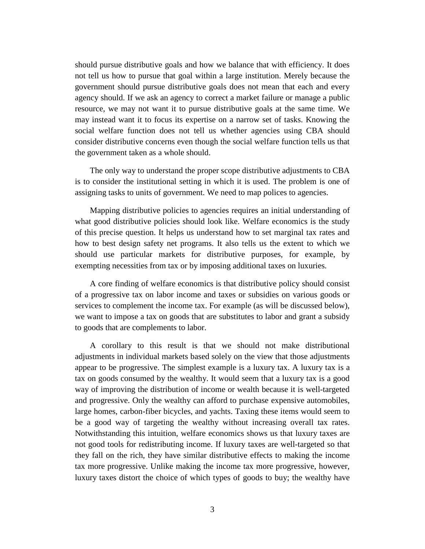should pursue distributive goals and how we balance that with efficiency. It does not tell us how to pursue that goal within a large institution. Merely because the government should pursue distributive goals does not mean that each and every agency should. If we ask an agency to correct a market failure or manage a public resource, we may not want it to pursue distributive goals at the same time. We may instead want it to focus its expertise on a narrow set of tasks. Knowing the social welfare function does not tell us whether agencies using CBA should consider distributive concerns even though the social welfare function tells us that the government taken as a whole should.

The only way to understand the proper scope distributive adjustments to CBA is to consider the institutional setting in which it is used. The problem is one of assigning tasks to units of government. We need to map polices to agencies.

Mapping distributive policies to agencies requires an initial understanding of what good distributive policies should look like. Welfare economics is the study of this precise question. It helps us understand how to set marginal tax rates and how to best design safety net programs. It also tells us the extent to which we should use particular markets for distributive purposes, for example, by exempting necessities from tax or by imposing additional taxes on luxuries.

A core finding of welfare economics is that distributive policy should consist of a progressive tax on labor income and taxes or subsidies on various goods or services to complement the income tax. For example (as will be discussed below), we want to impose a tax on goods that are substitutes to labor and grant a subsidy to goods that are complements to labor.

A corollary to this result is that we should not make distributional adjustments in individual markets based solely on the view that those adjustments appear to be progressive. The simplest example is a luxury tax. A luxury tax is a tax on goods consumed by the wealthy. It would seem that a luxury tax is a good way of improving the distribution of income or wealth because it is well-targeted and progressive. Only the wealthy can afford to purchase expensive automobiles, large homes, carbon-fiber bicycles, and yachts. Taxing these items would seem to be a good way of targeting the wealthy without increasing overall tax rates. Notwithstanding this intuition, welfare economics shows us that luxury taxes are not good tools for redistributing income. If luxury taxes are well-targeted so that they fall on the rich, they have similar distributive effects to making the income tax more progressive. Unlike making the income tax more progressive, however, luxury taxes distort the choice of which types of goods to buy; the wealthy have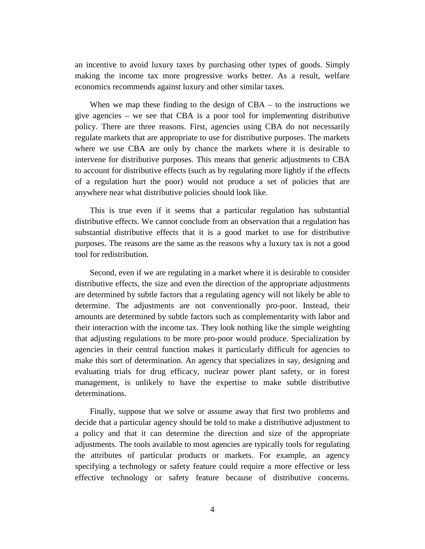an incentive to avoid luxury taxes by purchasing other types of goods. Simply making the income tax more progressive works better. As a result, welfare economics recommends against luxury and other similar taxes.

When we map these finding to the design of CBA – to the instructions we give agencies – we see that CBA is a poor tool for implementing distributive policy. There are three reasons. First, agencies using CBA do not necessarily regulate markets that are appropriate to use for distributive purposes. The markets where we use CBA are only by chance the markets where it is desirable to intervene for distributive purposes. This means that generic adjustments to CBA to account for distributive effects (such as by regulating more lightly if the effects of a regulation hurt the poor) would not produce a set of policies that are anywhere near what distributive policies should look like.

This is true even if it seems that a particular regulation has substantial distributive effects. We cannot conclude from an observation that a regulation has substantial distributive effects that it is a good market to use for distributive purposes. The reasons are the same as the reasons why a luxury tax is not a good tool for redistribution.

Second, even if we are regulating in a market where it is desirable to consider distributive effects, the size and even the direction of the appropriate adjustments are determined by subtle factors that a regulating agency will not likely be able to determine. The adjustments are not conventionally pro-poor. Instead, their amounts are determined by subtle factors such as complementarity with labor and their interaction with the income tax. They look nothing like the simple weighting that adjusting regulations to be more pro-poor would produce. Specialization by agencies in their central function makes it particularly difficult for agencies to make this sort of determination. An agency that specializes in say, designing and evaluating trials for drug efficacy, nuclear power plant safety, or in forest management, is unlikely to have the expertise to make subtle distributive determinations.

Finally, suppose that we solve or assume away that first two problems and decide that a particular agency should be told to make a distributive adjustment to a policy and that it can determine the direction and size of the appropriate adjustments. The tools available to most agencies are typically tools for regulating the attributes of particular products or markets. For example, an agency specifying a technology or safety feature could require a more effective or less effective technology or safety feature because of distributive concerns.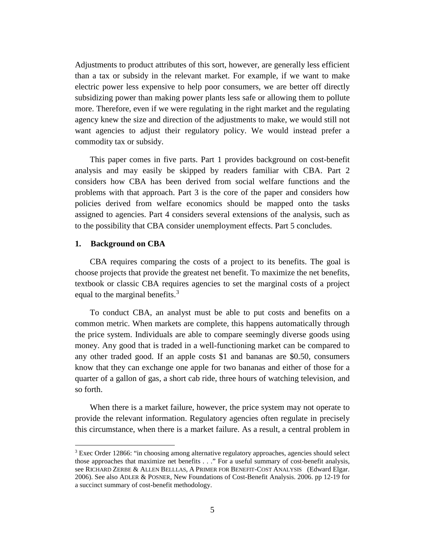Adjustments to product attributes of this sort, however, are generally less efficient than a tax or subsidy in the relevant market. For example, if we want to make electric power less expensive to help poor consumers, we are better off directly subsidizing power than making power plants less safe or allowing them to pollute more. Therefore, even if we were regulating in the right market and the regulating agency knew the size and direction of the adjustments to make, we would still not want agencies to adjust their regulatory policy. We would instead prefer a commodity tax or subsidy.

This paper comes in five parts. Part 1 provides background on cost-benefit analysis and may easily be skipped by readers familiar with CBA. Part 2 considers how CBA has been derived from social welfare functions and the problems with that approach. Part 3 is the core of the paper and considers how policies derived from welfare economics should be mapped onto the tasks assigned to agencies. Part 4 considers several extensions of the analysis, such as to the possibility that CBA consider unemployment effects. Part 5 concludes.

#### **1. Background on CBA**

 $\overline{a}$ 

CBA requires comparing the costs of a project to its benefits. The goal is choose projects that provide the greatest net benefit. To maximize the net benefits, textbook or classic CBA requires agencies to set the marginal costs of a project equal to the marginal benefits.<sup>[3](#page-6-0)</sup>

To conduct CBA, an analyst must be able to put costs and benefits on a common metric. When markets are complete, this happens automatically through the price system. Individuals are able to compare seemingly diverse goods using money. Any good that is traded in a well-functioning market can be compared to any other traded good. If an apple costs \$1 and bananas are \$0.50, consumers know that they can exchange one apple for two bananas and either of those for a quarter of a gallon of gas, a short cab ride, three hours of watching television, and so forth.

When there is a market failure, however, the price system may not operate to provide the relevant information. Regulatory agencies often regulate in precisely this circumstance, when there is a market failure. As a result, a central problem in

<span id="page-6-0"></span><sup>3</sup> Exec Order 12866: "in choosing among alternative regulatory approaches, agencies should select those approaches that maximize net benefits . . ." For a useful summary of cost-benefit analysis, see RICHARD ZERBE & ALLEN BELLLAS, A PRIMER FOR BENEFIT-COST ANALYSIS (Edward Elgar. 2006). See also ADLER & POSNER, New Foundations of Cost-Benefit Analysis. 2006. pp 12-19 for a succinct summary of cost-benefit methodology.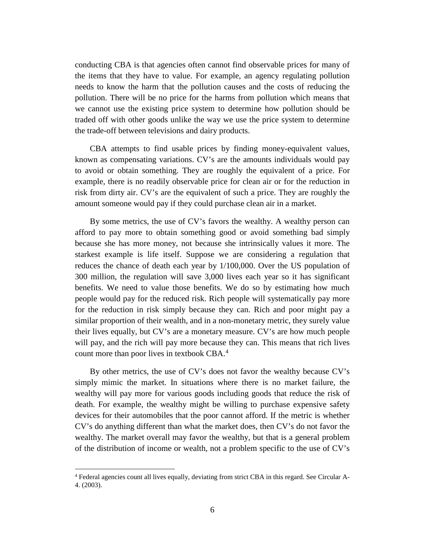conducting CBA is that agencies often cannot find observable prices for many of the items that they have to value. For example, an agency regulating pollution needs to know the harm that the pollution causes and the costs of reducing the pollution. There will be no price for the harms from pollution which means that we cannot use the existing price system to determine how pollution should be traded off with other goods unlike the way we use the price system to determine the trade-off between televisions and dairy products.

CBA attempts to find usable prices by finding money-equivalent values, known as compensating variations. CV's are the amounts individuals would pay to avoid or obtain something. They are roughly the equivalent of a price. For example, there is no readily observable price for clean air or for the reduction in risk from dirty air. CV's are the equivalent of such a price. They are roughly the amount someone would pay if they could purchase clean air in a market.

By some metrics, the use of CV's favors the wealthy. A wealthy person can afford to pay more to obtain something good or avoid something bad simply because she has more money, not because she intrinsically values it more. The starkest example is life itself. Suppose we are considering a regulation that reduces the chance of death each year by 1/100,000. Over the US population of 300 million, the regulation will save 3,000 lives each year so it has significant benefits. We need to value those benefits. We do so by estimating how much people would pay for the reduced risk. Rich people will systematically pay more for the reduction in risk simply because they can. Rich and poor might pay a similar proportion of their wealth, and in a non-monetary metric, they surely value their lives equally, but CV's are a monetary measure. CV's are how much people will pay, and the rich will pay more because they can. This means that rich lives count more than poor lives in textbook CBA.<sup>[4](#page-7-0)</sup>

By other metrics, the use of CV's does not favor the wealthy because CV's simply mimic the market. In situations where there is no market failure, the wealthy will pay more for various goods including goods that reduce the risk of death. For example, the wealthy might be willing to purchase expensive safety devices for their automobiles that the poor cannot afford. If the metric is whether CV's do anything different than what the market does, then CV's do not favor the wealthy. The market overall may favor the wealthy, but that is a general problem of the distribution of income or wealth, not a problem specific to the use of CV's

<span id="page-7-0"></span><sup>4</sup> Federal agencies count all lives equally, deviating from strict CBA in this regard. See Circular A-4. (2003).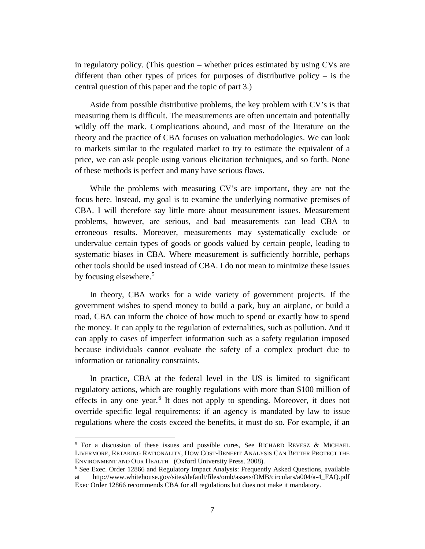in regulatory policy. (This question – whether prices estimated by using CVs are different than other types of prices for purposes of distributive policy – is the central question of this paper and the topic of part 3.)

Aside from possible distributive problems, the key problem with CV's is that measuring them is difficult. The measurements are often uncertain and potentially wildly off the mark. Complications abound, and most of the literature on the theory and the practice of CBA focuses on valuation methodologies. We can look to markets similar to the regulated market to try to estimate the equivalent of a price, we can ask people using various elicitation techniques, and so forth. None of these methods is perfect and many have serious flaws.

While the problems with measuring CV's are important, they are not the focus here. Instead, my goal is to examine the underlying normative premises of CBA. I will therefore say little more about measurement issues. Measurement problems, however, are serious, and bad measurements can lead CBA to erroneous results. Moreover, measurements may systematically exclude or undervalue certain types of goods or goods valued by certain people, leading to systematic biases in CBA. Where measurement is sufficiently horrible, perhaps other tools should be used instead of CBA. I do not mean to minimize these issues by focusing elsewhere.<sup>[5](#page-8-0)</sup>

In theory, CBA works for a wide variety of government projects. If the government wishes to spend money to build a park, buy an airplane, or build a road, CBA can inform the choice of how much to spend or exactly how to spend the money. It can apply to the regulation of externalities, such as pollution. And it can apply to cases of imperfect information such as a safety regulation imposed because individuals cannot evaluate the safety of a complex product due to information or rationality constraints.

In practice, CBA at the federal level in the US is limited to significant regulatory actions, which are roughly regulations with more than \$100 million of effects in any one year.<sup>[6](#page-8-1)</sup> It does not apply to spending. Moreover, it does not override specific legal requirements: if an agency is mandated by law to issue regulations where the costs exceed the benefits, it must do so. For example, if an

<span id="page-8-0"></span><sup>5</sup> For a discussion of these issues and possible cures, See RICHARD REVESZ & MICHAEL LIVERMORE, RETAKING RATIONALITY, HOW COST-BENEFIT ANALYSIS CAN BETTER PROTECT THE ENVIRONMENT AND OUR HEALTH (Oxford University Press. 2008).

<span id="page-8-1"></span><sup>6</sup> See Exec. Order 12866 and Regulatory Impact Analysis: Frequently Asked Questions, available at http://www.whitehouse.gov/sites/default/files/omb/assets/OMB/circulars/a004/a-4\_FAQ.pdf Exec Order 12866 recommends CBA for all regulations but does not make it mandatory.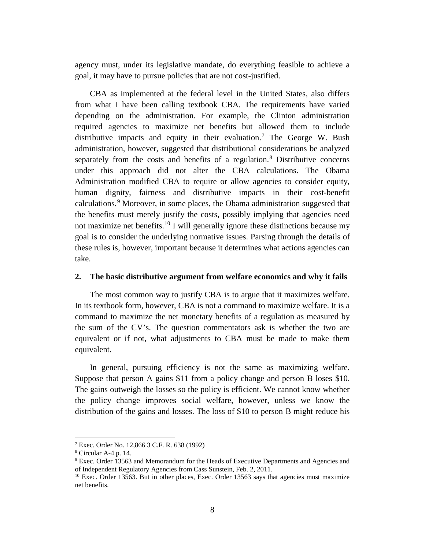agency must, under its legislative mandate, do everything feasible to achieve a goal, it may have to pursue policies that are not cost-justified.

CBA as implemented at the federal level in the United States, also differs from what I have been calling textbook CBA. The requirements have varied depending on the administration. For example, the Clinton administration required agencies to maximize net benefits but allowed them to include distributive impacts and equity in their evaluation.<sup>[7](#page-9-0)</sup> The George W. Bush administration, however, suggested that distributional considerations be analyzed separately from the costs and benefits of a regulation.<sup>[8](#page-9-1)</sup> Distributive concerns under this approach did not alter the CBA calculations. The Obama Administration modified CBA to require or allow agencies to consider equity, human dignity, fairness and distributive impacts in their cost-benefit calculations. [9](#page-9-2) Moreover, in some places, the Obama administration suggested that the benefits must merely justify the costs, possibly implying that agencies need not maximize net benefits.<sup>[10](#page-9-3)</sup> I will generally ignore these distinctions because my goal is to consider the underlying normative issues. Parsing through the details of these rules is, however, important because it determines what actions agencies can take.

#### **2. The basic distributive argument from welfare economics and why it fails**

The most common way to justify CBA is to argue that it maximizes welfare. In its textbook form, however, CBA is not a command to maximize welfare. It is a command to maximize the net monetary benefits of a regulation as measured by the sum of the CV's. The question commentators ask is whether the two are equivalent or if not, what adjustments to CBA must be made to make them equivalent.

In general, pursuing efficiency is not the same as maximizing welfare. Suppose that person A gains \$11 from a policy change and person B loses \$10. The gains outweigh the losses so the policy is efficient. We cannot know whether the policy change improves social welfare, however, unless we know the distribution of the gains and losses. The loss of \$10 to person B might reduce his

<span id="page-9-0"></span> $7$  Exec. Order No. 12,866 3 C.F. R. 638 (1992)

<span id="page-9-1"></span><sup>8</sup> Circular A-4 p. 14.

<span id="page-9-2"></span><sup>&</sup>lt;sup>9</sup> Exec. Order 13563 and Memorandum for the Heads of Executive Departments and Agencies and of Independent Regulatory Agencies from Cass Sunstein, Feb. 2, 2011.

<span id="page-9-3"></span> $10$  Exec. Order 13563. But in other places, Exec. Order 13563 says that agencies must maximize net benefits.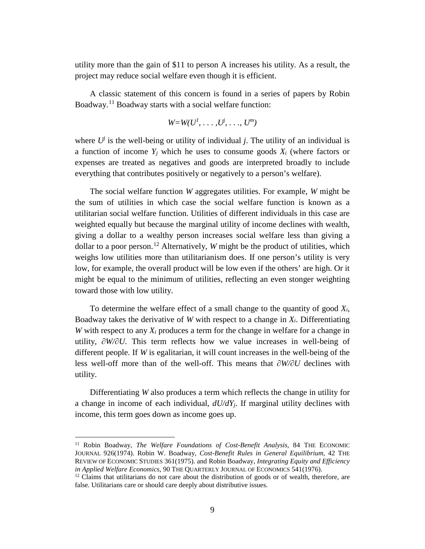utility more than the gain of \$11 to person A increases his utility. As a result, the project may reduce social welfare even though it is efficient.

A classic statement of this concern is found in a series of papers by Robin Boadway.[11](#page-10-0) Boadway starts with a social welfare function:

$$
W=W(U^1,\ldots,U^j,\ldots,U^m)
$$

where  $U^j$  is the well-being or utility of individual *j*. The utility of an individual is a function of income  $Y_i$  which he uses to consume goods  $X_i$  (where factors or expenses are treated as negatives and goods are interpreted broadly to include everything that contributes positively or negatively to a person's welfare).

The social welfare function *W* aggregates utilities. For example, *W* might be the sum of utilities in which case the social welfare function is known as a utilitarian social welfare function. Utilities of different individuals in this case are weighted equally but because the marginal utility of income declines with wealth, giving a dollar to a wealthy person increases social welfare less than giving a dollar to a poor person.<sup>[12](#page-10-1)</sup> Alternatively, *W* might be the product of utilities, which weighs low utilities more than utilitarianism does. If one person's utility is very low, for example, the overall product will be low even if the others' are high. Or it might be equal to the minimum of utilities, reflecting an even stonger weighting toward those with low utility.

To determine the welfare effect of a small change to the quantity of good *Xi*, Boadway takes the derivative of *W* with respect to a change in  $X_i$ . Differentiating *W* with respect to any *Xi* produces a term for the change in welfare for a change in utility, *∂W/∂U*. This term reflects how we value increases in well-being of different people. If *W* is egalitarian, it will count increases in the well-being of the less well-off more than of the well-off. This means that *∂W/∂U* declines with utility.

Differentiating *W* also produces a term which reflects the change in utility for a change in income of each individual, *dU/dYj*. If marginal utility declines with income, this term goes down as income goes up.

<span id="page-10-0"></span><sup>&</sup>lt;sup>11</sup> Robin Boadway, *The Welfare Foundations of Cost-Benefit Analysis*, 84 THE ECONOMIC JOURNAL 926(1974). Robin W. Boadway, *Cost-Benefit Rules in General Equilibrium*, 42 THE REVIEW OF ECONOMIC STUDIES 361(1975). and Robin Boadway, *Integrating Equity and Efficiency in Applied Welfare Economics*, 90 THE QUARTERLY JOURNAL OF ECONOMICS 541(1976).

<span id="page-10-1"></span> $12$  Claims that utilitarians do not care about the distribution of goods or of wealth, therefore, are false. Utilitarians care or should care deeply about distributive issues.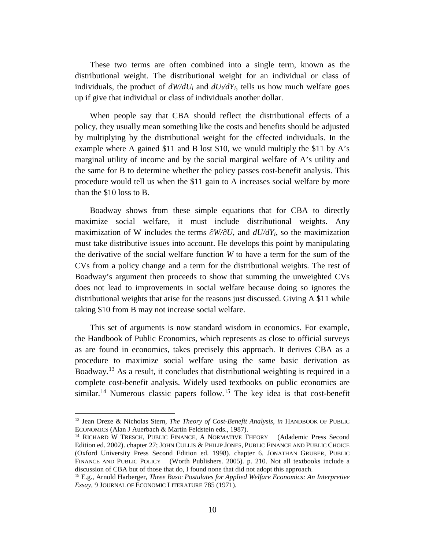These two terms are often combined into a single term, known as the distributional weight. The distributional weight for an individual or class of individuals, the product of  $dW/dU_i$  and  $dU/dY_i$ , tells us how much welfare goes up if give that individual or class of individuals another dollar.

When people say that CBA should reflect the distributional effects of a policy, they usually mean something like the costs and benefits should be adjusted by multiplying by the distributional weight for the effected individuals. In the example where A gained \$11 and B lost \$10, we would multiply the \$11 by A's marginal utility of income and by the social marginal welfare of A's utility and the same for B to determine whether the policy passes cost-benefit analysis. This procedure would tell us when the \$11 gain to A increases social welfare by more than the \$10 loss to B.

Boadway shows from these simple equations that for CBA to directly maximize social welfare, it must include distributional weights. Any maximization of W includes the terms  $\partial W/\partial U$ , and  $dU/dY_i$ , so the maximization must take distributive issues into account. He develops this point by manipulating the derivative of the social welfare function *W* to have a term for the sum of the CVs from a policy change and a term for the distributional weights. The rest of Boadway's argument then proceeds to show that summing the unweighted CVs does not lead to improvements in social welfare because doing so ignores the distributional weights that arise for the reasons just discussed. Giving A \$11 while taking \$10 from B may not increase social welfare.

This set of arguments is now standard wisdom in economics. For example, the Handbook of Public Economics, which represents as close to official surveys as are found in economics, takes precisely this approach. It derives CBA as a procedure to maximize social welfare using the same basic derivation as Boadway.<sup>[13](#page-11-0)</sup> As a result, it concludes that distributional weighting is required in a complete cost-benefit analysis. Widely used textbooks on public economics are similar.<sup>[14](#page-11-1)</sup> Numerous classic papers follow.<sup>[15](#page-11-2)</sup> The key idea is that cost-benefit

<span id="page-11-0"></span><sup>13</sup> Jean Dreze & Nicholas Stern, *The Theory of Cost-Benefit Analysis*, *in* HANDBOOK OF PUBLIC ECONOMICS (Alan J Auerbach & Martin Feldstein eds., 1987).

<span id="page-11-1"></span><sup>&</sup>lt;sup>14</sup> RICHARD W TRESCH, PUBLIC FINANCE, A NORMATIVE THEORY (Adademic Press Second Edition ed. 2002). chapter 27; JOHN CULLIS & PHILIP JONES, PUBLIC FINANCE AND PUBLIC CHOICE (Oxford University Press Second Edition ed. 1998). chapter 6. JONATHAN GRUBER, PUBLIC FINANCE AND PUBLIC POLICY (Worth Publishers. 2005). p. 210. Not all textbooks include a discussion of CBA but of those that do, I found none that did not adopt this approach.

<span id="page-11-2"></span><sup>15</sup> E.g., Arnold Harberger, *Three Basic Postulates for Applied Welfare Economics: An Interpretive Essay*, 9 JOURNAL OF ECONOMIC LITERATURE 785 (1971).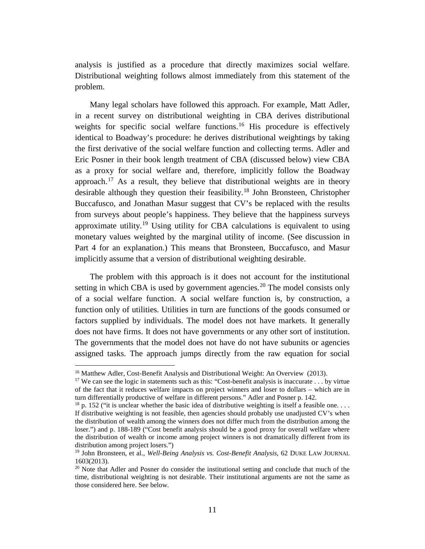analysis is justified as a procedure that directly maximizes social welfare. Distributional weighting follows almost immediately from this statement of the problem.

Many legal scholars have followed this approach. For example, Matt Adler, in a recent survey on distributional weighting in CBA derives distributional weights for specific social welfare functions.<sup>[16](#page-12-0)</sup> His procedure is effectively identical to Boadway's procedure: he derives distributional weightings by taking the first derivative of the social welfare function and collecting terms. Adler and Eric Posner in their book length treatment of CBA (discussed below) view CBA as a proxy for social welfare and, therefore, implicitly follow the Boadway approach.<sup>[17](#page-12-1)</sup> As a result, they believe that distributional weights are in theory desirable although they question their feasibility. [18](#page-12-2) John Bronsteen, Christopher Buccafusco, and Jonathan Masur suggest that CV's be replaced with the results from surveys about people's happiness. They believe that the happiness surveys approximate utility.<sup>[19](#page-12-3)</sup> Using utility for CBA calculations is equivalent to using monetary values weighted by the marginal utility of income. (See discussion in Part 4 for an explanation.) This means that Bronsteen, Buccafusco, and Masur implicitly assume that a version of distributional weighting desirable.

The problem with this approach is it does not account for the institutional setting in which CBA is used by government agencies.<sup>[20](#page-12-4)</sup> The model consists only of a social welfare function. A social welfare function is, by construction, a function only of utilities. Utilities in turn are functions of the goods consumed or factors supplied by individuals. The model does not have markets. It generally does not have firms. It does not have governments or any other sort of institution. The governments that the model does not have do not have subunits or agencies assigned tasks. The approach jumps directly from the raw equation for social

<span id="page-12-0"></span><sup>&</sup>lt;sup>16</sup> Matthew Adler, Cost-Benefit Analysis and Distributional Weight: An Overview (2013).

<span id="page-12-1"></span><sup>&</sup>lt;sup>17</sup> We can see the logic in statements such as this: "Cost-benefit analysis is inaccurate . . . by virtue of the fact that it reduces welfare impacts on project winners and loser to dollars – which are in turn differentially productive of welfare in different persons." Adler and Posner p. 142.

<span id="page-12-2"></span> $18$  p. 152 ("it is unclear whether the basic idea of distributive weighting is itself a feasible one... If distributive weighting is not feasible, then agencies should probably use unadjusted CV's when the distribution of wealth among the winners does not differ much from the distribution among the loser.") and p. 188-189 ("Cost benefit analysis should be a good proxy for overall welfare where the distribution of wealth or income among project winners is not dramatically different from its distribution among project losers.")

<span id="page-12-3"></span><sup>19</sup> John Bronsteen, et al., *Well-Being Analysis vs. Cost-Benefit Analysis*, 62 DUKE LAW JOURNAL 1603(2013).

<span id="page-12-4"></span> $20$  Note that Adler and Posner do consider the institutional setting and conclude that much of the time, distributional weighting is not desirable. Their institutional arguments are not the same as those considered here. See below.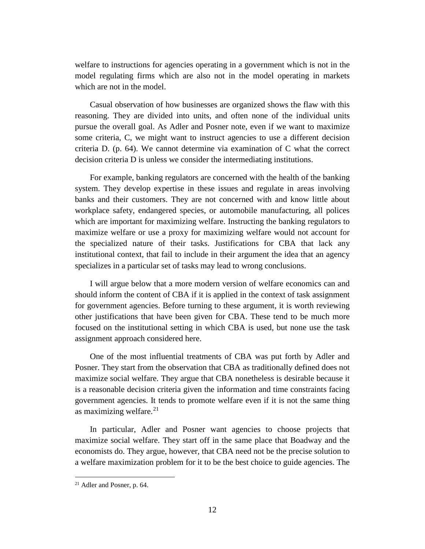welfare to instructions for agencies operating in a government which is not in the model regulating firms which are also not in the model operating in markets which are not in the model.

Casual observation of how businesses are organized shows the flaw with this reasoning. They are divided into units, and often none of the individual units pursue the overall goal. As Adler and Posner note, even if we want to maximize some criteria, C, we might want to instruct agencies to use a different decision criteria D. (p. 64). We cannot determine via examination of C what the correct decision criteria D is unless we consider the intermediating institutions.

For example, banking regulators are concerned with the health of the banking system. They develop expertise in these issues and regulate in areas involving banks and their customers. They are not concerned with and know little about workplace safety, endangered species, or automobile manufacturing, all polices which are important for maximizing welfare. Instructing the banking regulators to maximize welfare or use a proxy for maximizing welfare would not account for the specialized nature of their tasks. Justifications for CBA that lack any institutional context, that fail to include in their argument the idea that an agency specializes in a particular set of tasks may lead to wrong conclusions.

I will argue below that a more modern version of welfare economics can and should inform the content of CBA if it is applied in the context of task assignment for government agencies. Before turning to these argument, it is worth reviewing other justifications that have been given for CBA. These tend to be much more focused on the institutional setting in which CBA is used, but none use the task assignment approach considered here.

One of the most influential treatments of CBA was put forth by Adler and Posner. They start from the observation that CBA as traditionally defined does not maximize social welfare. They argue that CBA nonetheless is desirable because it is a reasonable decision criteria given the information and time constraints facing government agencies. It tends to promote welfare even if it is not the same thing as maximizing welfare. [21](#page-13-0)

In particular, Adler and Posner want agencies to choose projects that maximize social welfare. They start off in the same place that Boadway and the economists do. They argue, however, that CBA need not be the precise solution to a welfare maximization problem for it to be the best choice to guide agencies. The

<span id="page-13-0"></span><sup>21</sup> Adler and Posner, p. 64.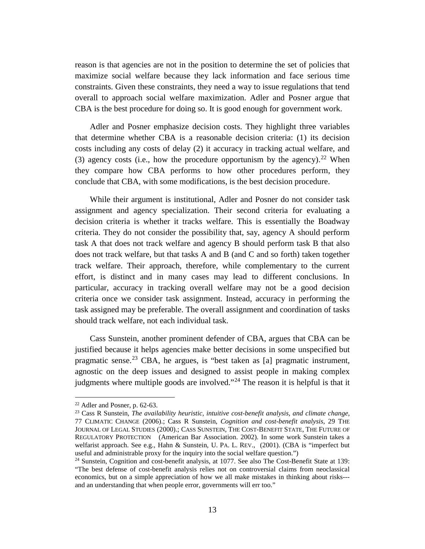reason is that agencies are not in the position to determine the set of policies that maximize social welfare because they lack information and face serious time constraints. Given these constraints, they need a way to issue regulations that tend overall to approach social welfare maximization. Adler and Posner argue that CBA is the best procedure for doing so. It is good enough for government work.

Adler and Posner emphasize decision costs. They highlight three variables that determine whether CBA is a reasonable decision criteria: (1) its decision costs including any costs of delay (2) it accuracy in tracking actual welfare, and (3) agency costs (i.e., how the procedure opportunism by the agency).<sup>[22](#page-14-0)</sup> When they compare how CBA performs to how other procedures perform, they conclude that CBA, with some modifications, is the best decision procedure.

While their argument is institutional, Adler and Posner do not consider task assignment and agency specialization. Their second criteria for evaluating a decision criteria is whether it tracks welfare. This is essentially the Boadway criteria. They do not consider the possibility that, say, agency A should perform task A that does not track welfare and agency B should perform task B that also does not track welfare, but that tasks A and B (and C and so forth) taken together track welfare. Their approach, therefore, while complementary to the current effort, is distinct and in many cases may lead to different conclusions. In particular, accuracy in tracking overall welfare may not be a good decision criteria once we consider task assignment. Instead, accuracy in performing the task assigned may be preferable. The overall assignment and coordination of tasks should track welfare, not each individual task.

Cass Sunstein, another prominent defender of CBA, argues that CBA can be justified because it helps agencies make better decisions in some unspecified but pragmatic sense.<sup>[23](#page-14-1)</sup> CBA, he argues, is "best taken as [a] pragmatic instrument, agnostic on the deep issues and designed to assist people in making complex judgments where multiple goods are involved."<sup>[24](#page-14-2)</sup> The reason it is helpful is that it

<span id="page-14-1"></span><span id="page-14-0"></span><sup>&</sup>lt;sup>22</sup> Adler and Posner, p. 62-63.<br><sup>23</sup> Cass R Sunstein, *The availability heuristic, intuitive cost-benefit analysis, and climate change*, 77 CLIMATIC CHANGE (2006).; Cass R Sunstein, *Cognition and cost-benefit analysis*, 29 THE JOURNAL OF LEGAL STUDIES (2000).; CASS SUNSTEIN, THE COST-BENEFIT STATE, THE FUTURE OF REGULATORY PROTECTION (American Bar Association. 2002). In some work Sunstein takes a welfarist approach. See e.g., Hahn & Sunstein, U. PA. L. REV., (2001). (CBA is "imperfect but useful and administrable proxy for the inquiry into the social welfare question.")

<span id="page-14-2"></span><sup>24</sup> Sunstein, Cognition and cost-benefit analysis, at 1077. See also The Cost-Benefit State at 139: "The best defense of cost-benefit analysis relies not on controversial claims from neoclassical economics, but on a simple appreciation of how we all make mistakes in thinking about risks-- and an understanding that when people error, governments will err too."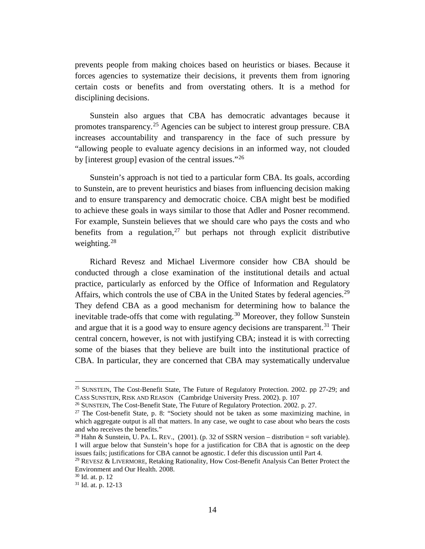prevents people from making choices based on heuristics or biases. Because it forces agencies to systematize their decisions, it prevents them from ignoring certain costs or benefits and from overstating others. It is a method for disciplining decisions.

Sunstein also argues that CBA has democratic advantages because it promotes transparency.[25](#page-15-0) Agencies can be subject to interest group pressure. CBA increases accountability and transparency in the face of such pressure by "allowing people to evaluate agency decisions in an informed way, not clouded by [interest group] evasion of the central issues."<sup>[26](#page-15-1)</sup>

Sunstein's approach is not tied to a particular form CBA. Its goals, according to Sunstein, are to prevent heuristics and biases from influencing decision making and to ensure transparency and democratic choice. CBA might best be modified to achieve these goals in ways similar to those that Adler and Posner recommend. For example, Sunstein believes that we should care who pays the costs and who benefits from a regulation,  $27$  but perhaps not through explicit distributive weighting. $28$ 

Richard Revesz and Michael Livermore consider how CBA should be conducted through a close examination of the institutional details and actual practice, particularly as enforced by the Office of Information and Regulatory Affairs, which controls the use of CBA in the United States by federal agencies.<sup>[29](#page-15-4)</sup> They defend CBA as a good mechanism for determining how to balance the inevitable trade-offs that come with regulating.<sup>[30](#page-15-5)</sup> Moreover, they follow Sunstein and argue that it is a good way to ensure agency decisions are transparent.<sup>[31](#page-15-6)</sup> Their central concern, however, is not with justifying CBA; instead it is with correcting some of the biases that they believe are built into the institutional practice of CBA. In particular, they are concerned that CBA may systematically undervalue

<span id="page-15-0"></span><sup>&</sup>lt;sup>25</sup> SUNSTEIN, The Cost-Benefit State, The Future of Regulatory Protection. 2002. pp 27-29; and CASS SUNSTEIN, RISK AND REASON (Cambridge University Press. 2002). p. 107<br><sup>26</sup> SUNSTEIN, The Cost-Benefit State, The Future of Regulatory Protection. 2002. p. 27.

<span id="page-15-2"></span><span id="page-15-1"></span><sup>&</sup>lt;sup>27</sup> The Cost-benefit State, p. 8: "Society should not be taken as some maximizing machine, in which aggregate output is all that matters. In any case, we ought to case about who bears the costs and who receives the benefits."

<span id="page-15-3"></span><sup>&</sup>lt;sup>28</sup> Hahn & Sunstein, U. PA. L. REV.,  $(2001)$ . (p. 32 of SSRN version – distribution = soft variable). I will argue below that Sunstein's hope for a justification for CBA that is agnostic on the deep issues fails; justifications for CBA cannot be agnostic. I defer this discussion until Part 4.

<span id="page-15-4"></span><sup>&</sup>lt;sup>29</sup> REVESZ & LIVERMORE, Retaking Rationality, How Cost-Benefit Analysis Can Better Protect the Environment and Our Health. 2008.

<span id="page-15-5"></span><sup>30</sup> Id. at. p. 12

<span id="page-15-6"></span> $31$  Id. at. p. 12-13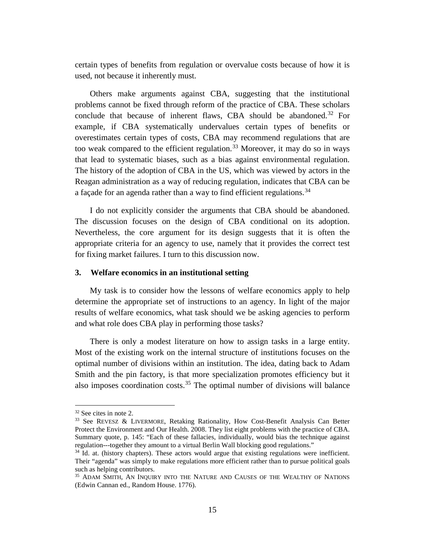certain types of benefits from regulation or overvalue costs because of how it is used, not because it inherently must.

Others make arguments against CBA, suggesting that the institutional problems cannot be fixed through reform of the practice of CBA. These scholars conclude that because of inherent flaws, CBA should be abandoned. [32](#page-16-0) For example, if CBA systematically undervalues certain types of benefits or overestimates certain types of costs, CBA may recommend regulations that are too weak compared to the efficient regulation.<sup>[33](#page-16-1)</sup> Moreover, it may do so in ways that lead to systematic biases, such as a bias against environmental regulation. The history of the adoption of CBA in the US, which was viewed by actors in the Reagan administration as a way of reducing regulation, indicates that CBA can be a façade for an agenda rather than a way to find efficient regulations.<sup>[34](#page-16-2)</sup>

I do not explicitly consider the arguments that CBA should be abandoned. The discussion focuses on the design of CBA conditional on its adoption. Nevertheless, the core argument for its design suggests that it is often the appropriate criteria for an agency to use, namely that it provides the correct test for fixing market failures. I turn to this discussion now.

#### **3. Welfare economics in an institutional setting**

My task is to consider how the lessons of welfare economics apply to help determine the appropriate set of instructions to an agency. In light of the major results of welfare economics, what task should we be asking agencies to perform and what role does CBA play in performing those tasks?

There is only a modest literature on how to assign tasks in a large entity. Most of the existing work on the internal structure of institutions focuses on the optimal number of divisions within an institution. The idea, dating back to Adam Smith and the pin factory, is that more specialization promotes efficiency but it also imposes coordination costs.<sup>[35](#page-16-3)</sup> The optimal number of divisions will balance

<span id="page-16-1"></span><span id="page-16-0"></span> $32$  See cites in note 2.<br><sup>33</sup> See REVESZ & LIVERMORE, Retaking Rationality, How Cost-Benefit Analysis Can Better Protect the Environment and Our Health. 2008. They list eight problems with the practice of CBA. Summary quote, p. 145: "Each of these fallacies, individually, would bias the technique against regulation---together they amount to a virtual Berlin Wall blocking good regulations." 34 Id. at. (history chapters). These actors would argue that existing regulations were inefficient.

<span id="page-16-2"></span>Their "agenda" was simply to make regulations more efficient rather than to pursue political goals such as helping contributors.

<span id="page-16-3"></span><sup>&</sup>lt;sup>35</sup> ADAM SMITH, AN INQUIRY INTO THE NATURE AND CAUSES OF THE WEALTHY OF NATIONS (Edwin Cannan ed., Random House. 1776).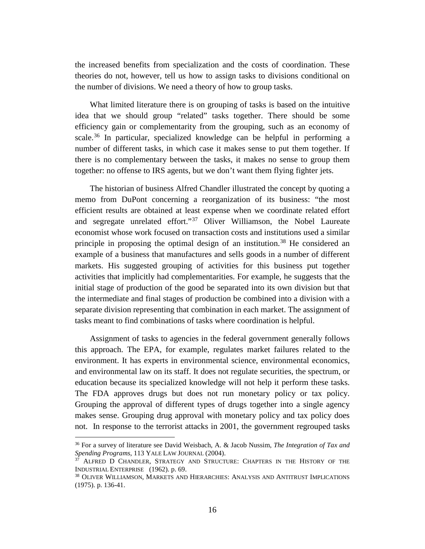the increased benefits from specialization and the costs of coordination. These theories do not, however, tell us how to assign tasks to divisions conditional on the number of divisions. We need a theory of how to group tasks.

What limited literature there is on grouping of tasks is based on the intuitive idea that we should group "related" tasks together. There should be some efficiency gain or complementarity from the grouping, such as an economy of scale.<sup>[36](#page-17-0)</sup> In particular, specialized knowledge can be helpful in performing a number of different tasks, in which case it makes sense to put them together. If there is no complementary between the tasks, it makes no sense to group them together: no offense to IRS agents, but we don't want them flying fighter jets.

The historian of business Alfred Chandler illustrated the concept by quoting a memo from DuPont concerning a reorganization of its business: "the most efficient results are obtained at least expense when we coordinate related effort and segregate unrelated effort."[37](#page-17-1) Oliver Williamson, the Nobel Laureate economist whose work focused on transaction costs and institutions used a similar principle in proposing the optimal design of an institution.<sup>[38](#page-17-2)</sup> He considered an example of a business that manufactures and sells goods in a number of different markets. His suggested grouping of activities for this business put together activities that implicitly had complementarities. For example, he suggests that the initial stage of production of the good be separated into its own division but that the intermediate and final stages of production be combined into a division with a separate division representing that combination in each market. The assignment of tasks meant to find combinations of tasks where coordination is helpful.

Assignment of tasks to agencies in the federal government generally follows this approach. The EPA, for example, regulates market failures related to the environment. It has experts in environmental science, environmental economics, and environmental law on its staff. It does not regulate securities, the spectrum, or education because its specialized knowledge will not help it perform these tasks. The FDA approves drugs but does not run monetary policy or tax policy. Grouping the approval of different types of drugs together into a single agency makes sense. Grouping drug approval with monetary policy and tax policy does not. In response to the terrorist attacks in 2001, the government regrouped tasks

<span id="page-17-0"></span><sup>36</sup> For a survey of literature see David Weisbach, A. & Jacob Nussim, *The Integration of Tax and Spending Programs*, 113 YALE LAW JOURNAL (2004).

<span id="page-17-1"></span><sup>&</sup>lt;sup>37</sup> ALFRED D CHANDLER, STRATEGY AND STRUCTURE: CHAPTERS IN THE HISTORY OF THE INDUSTRIAL ENTERPRISE (1962). p. 69.<br><sup>38</sup> OLIVER WILLIAMSON, MARKETS AND HIERARCHIES: ANALYSIS AND ANTITRUST IMPLICATIONS

<span id="page-17-2"></span><sup>(1975).</sup> p. 136-41.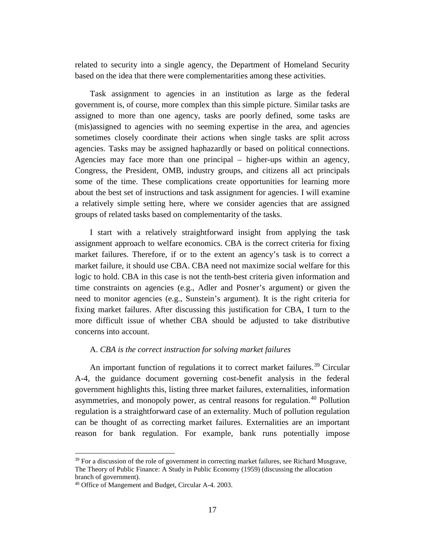related to security into a single agency, the Department of Homeland Security based on the idea that there were complementarities among these activities.

Task assignment to agencies in an institution as large as the federal government is, of course, more complex than this simple picture. Similar tasks are assigned to more than one agency, tasks are poorly defined, some tasks are (mis)assigned to agencies with no seeming expertise in the area, and agencies sometimes closely coordinate their actions when single tasks are split across agencies. Tasks may be assigned haphazardly or based on political connections. Agencies may face more than one principal – higher-ups within an agency, Congress, the President, OMB, industry groups, and citizens all act principals some of the time. These complications create opportunities for learning more about the best set of instructions and task assignment for agencies. I will examine a relatively simple setting here, where we consider agencies that are assigned groups of related tasks based on complementarity of the tasks.

I start with a relatively straightforward insight from applying the task assignment approach to welfare economics. CBA is the correct criteria for fixing market failures. Therefore, if or to the extent an agency's task is to correct a market failure, it should use CBA. CBA need not maximize social welfare for this logic to hold. CBA in this case is not the tenth-best criteria given information and time constraints on agencies (e.g., Adler and Posner's argument) or given the need to monitor agencies (e.g., Sunstein's argument). It is the right criteria for fixing market failures. After discussing this justification for CBA, I turn to the more difficult issue of whether CBA should be adjusted to take distributive concerns into account.

#### A. *CBA is the correct instruction for solving market failures*

An important function of regulations it to correct market failures.<sup>[39](#page-18-0)</sup> Circular A-4, the guidance document governing cost-benefit analysis in the federal government highlights this, listing three market failures, externalities, information asymmetries, and monopoly power, as central reasons for regulation.<sup>[40](#page-18-1)</sup> Pollution regulation is a straightforward case of an externality. Much of pollution regulation can be thought of as correcting market failures. Externalities are an important reason for bank regulation. For example, bank runs potentially impose

<span id="page-18-0"></span> $39$  For a discussion of the role of government in correcting market failures, see Richard Musgrave, The Theory of Public Finance: A Study in Public Economy (1959) (discussing the allocation branch of government).

<span id="page-18-1"></span><sup>40</sup> Office of Mangement and Budget, Circular A-4. 2003.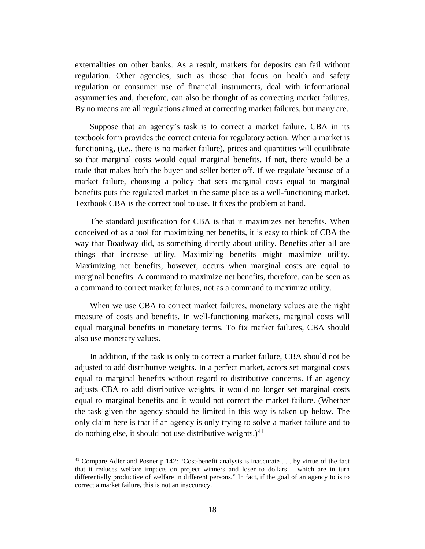externalities on other banks. As a result, markets for deposits can fail without regulation. Other agencies, such as those that focus on health and safety regulation or consumer use of financial instruments, deal with informational asymmetries and, therefore, can also be thought of as correcting market failures. By no means are all regulations aimed at correcting market failures, but many are.

Suppose that an agency's task is to correct a market failure. CBA in its textbook form provides the correct criteria for regulatory action. When a market is functioning, (i.e., there is no market failure), prices and quantities will equilibrate so that marginal costs would equal marginal benefits. If not, there would be a trade that makes both the buyer and seller better off. If we regulate because of a market failure, choosing a policy that sets marginal costs equal to marginal benefits puts the regulated market in the same place as a well-functioning market. Textbook CBA is the correct tool to use. It fixes the problem at hand.

The standard justification for CBA is that it maximizes net benefits. When conceived of as a tool for maximizing net benefits, it is easy to think of CBA the way that Boadway did, as something directly about utility. Benefits after all are things that increase utility. Maximizing benefits might maximize utility. Maximizing net benefits, however, occurs when marginal costs are equal to marginal benefits. A command to maximize net benefits, therefore, can be seen as a command to correct market failures, not as a command to maximize utility.

When we use CBA to correct market failures, monetary values are the right measure of costs and benefits. In well-functioning markets, marginal costs will equal marginal benefits in monetary terms. To fix market failures, CBA should also use monetary values.

In addition, if the task is only to correct a market failure, CBA should not be adjusted to add distributive weights. In a perfect market, actors set marginal costs equal to marginal benefits without regard to distributive concerns. If an agency adjusts CBA to add distributive weights, it would no longer set marginal costs equal to marginal benefits and it would not correct the market failure. (Whether the task given the agency should be limited in this way is taken up below. The only claim here is that if an agency is only trying to solve a market failure and to do nothing else, it should not use distributive weights.) $41$ 

<span id="page-19-0"></span><sup>&</sup>lt;sup>41</sup> Compare Adler and Posner p 142: "Cost-benefit analysis is inaccurate . . . by virtue of the fact that it reduces welfare impacts on project winners and loser to dollars – which are in turn differentially productive of welfare in different persons." In fact, if the goal of an agency to is to correct a market failure, this is not an inaccuracy.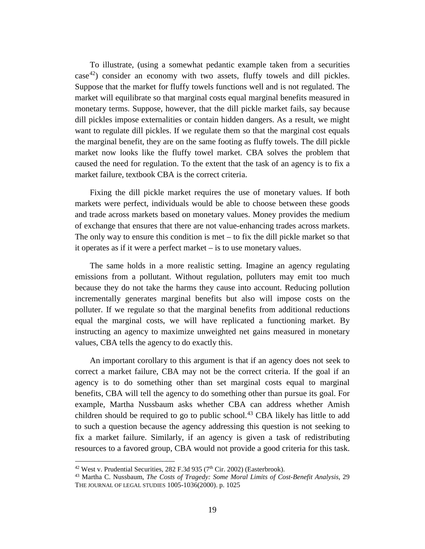To illustrate, (using a somewhat pedantic example taken from a securities  $case<sup>42</sup>$  $case<sup>42</sup>$  $case<sup>42</sup>$  consider an economy with two assets, fluffy towels and dill pickles. Suppose that the market for fluffy towels functions well and is not regulated. The market will equilibrate so that marginal costs equal marginal benefits measured in monetary terms. Suppose, however, that the dill pickle market fails, say because dill pickles impose externalities or contain hidden dangers. As a result, we might want to regulate dill pickles. If we regulate them so that the marginal cost equals the marginal benefit, they are on the same footing as fluffy towels. The dill pickle market now looks like the fluffy towel market. CBA solves the problem that caused the need for regulation. To the extent that the task of an agency is to fix a market failure, textbook CBA is the correct criteria.

Fixing the dill pickle market requires the use of monetary values. If both markets were perfect, individuals would be able to choose between these goods and trade across markets based on monetary values. Money provides the medium of exchange that ensures that there are not value-enhancing trades across markets. The only way to ensure this condition is met  $-$  to fix the dill pickle market so that it operates as if it were a perfect market – is to use monetary values.

The same holds in a more realistic setting. Imagine an agency regulating emissions from a pollutant. Without regulation, polluters may emit too much because they do not take the harms they cause into account. Reducing pollution incrementally generates marginal benefits but also will impose costs on the polluter. If we regulate so that the marginal benefits from additional reductions equal the marginal costs, we will have replicated a functioning market. By instructing an agency to maximize unweighted net gains measured in monetary values, CBA tells the agency to do exactly this.

An important corollary to this argument is that if an agency does not seek to correct a market failure, CBA may not be the correct criteria. If the goal if an agency is to do something other than set marginal costs equal to marginal benefits, CBA will tell the agency to do something other than pursue its goal. For example, Martha Nussbaum asks whether CBA can address whether Amish children should be required to go to public school.<sup>[43](#page-20-1)</sup> CBA likely has little to add to such a question because the agency addressing this question is not seeking to fix a market failure. Similarly, if an agency is given a task of redistributing resources to a favored group, CBA would not provide a good criteria for this task.

<span id="page-20-1"></span><span id="page-20-0"></span><sup>&</sup>lt;sup>42</sup> West v. Prudential Securities, 282 F.3d 935 (7<sup>th</sup> Cir. 2002) (Easterbrook).<br><sup>43</sup> Martha C. Nussbaum, *The Costs of Tragedy: Some Moral Limits of Cost-Benefit Analysis*, 29 THE JOURNAL OF LEGAL STUDIES 1005-1036(2000). p. 1025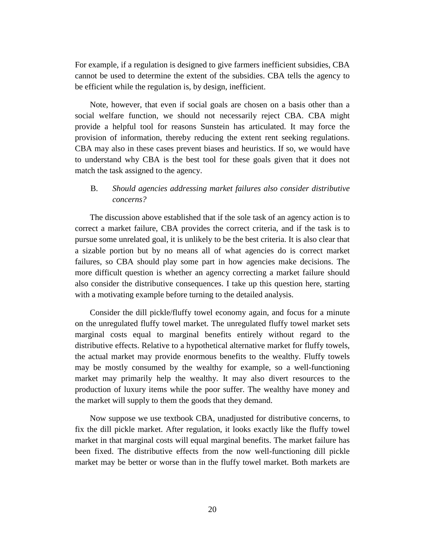For example, if a regulation is designed to give farmers inefficient subsidies, CBA cannot be used to determine the extent of the subsidies. CBA tells the agency to be efficient while the regulation is, by design, inefficient.

Note, however, that even if social goals are chosen on a basis other than a social welfare function, we should not necessarily reject CBA. CBA might provide a helpful tool for reasons Sunstein has articulated. It may force the provision of information, thereby reducing the extent rent seeking regulations. CBA may also in these cases prevent biases and heuristics. If so, we would have to understand why CBA is the best tool for these goals given that it does not match the task assigned to the agency.

# B. *Should agencies addressing market failures also consider distributive concerns?*

The discussion above established that if the sole task of an agency action is to correct a market failure, CBA provides the correct criteria, and if the task is to pursue some unrelated goal, it is unlikely to be the best criteria. It is also clear that a sizable portion but by no means all of what agencies do is correct market failures, so CBA should play some part in how agencies make decisions. The more difficult question is whether an agency correcting a market failure should also consider the distributive consequences. I take up this question here, starting with a motivating example before turning to the detailed analysis.

Consider the dill pickle/fluffy towel economy again, and focus for a minute on the unregulated fluffy towel market. The unregulated fluffy towel market sets marginal costs equal to marginal benefits entirely without regard to the distributive effects. Relative to a hypothetical alternative market for fluffy towels, the actual market may provide enormous benefits to the wealthy. Fluffy towels may be mostly consumed by the wealthy for example, so a well-functioning market may primarily help the wealthy. It may also divert resources to the production of luxury items while the poor suffer. The wealthy have money and the market will supply to them the goods that they demand.

Now suppose we use textbook CBA, unadjusted for distributive concerns, to fix the dill pickle market. After regulation, it looks exactly like the fluffy towel market in that marginal costs will equal marginal benefits. The market failure has been fixed. The distributive effects from the now well-functioning dill pickle market may be better or worse than in the fluffy towel market. Both markets are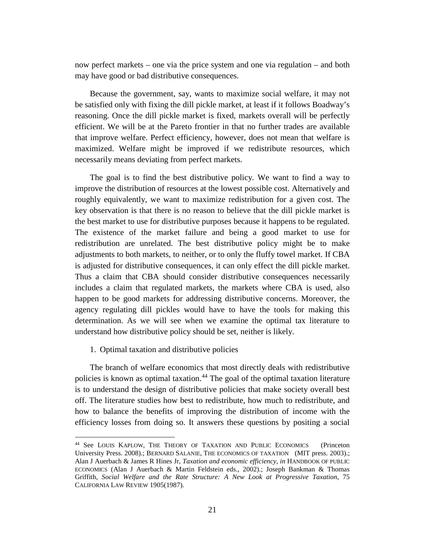now perfect markets – one via the price system and one via regulation – and both may have good or bad distributive consequences.

Because the government, say, wants to maximize social welfare, it may not be satisfied only with fixing the dill pickle market, at least if it follows Boadway's reasoning. Once the dill pickle market is fixed, markets overall will be perfectly efficient. We will be at the Pareto frontier in that no further trades are available that improve welfare. Perfect efficiency, however, does not mean that welfare is maximized. Welfare might be improved if we redistribute resources, which necessarily means deviating from perfect markets.

The goal is to find the best distributive policy. We want to find a way to improve the distribution of resources at the lowest possible cost. Alternatively and roughly equivalently, we want to maximize redistribution for a given cost. The key observation is that there is no reason to believe that the dill pickle market is the best market to use for distributive purposes because it happens to be regulated. The existence of the market failure and being a good market to use for redistribution are unrelated. The best distributive policy might be to make adjustments to both markets, to neither, or to only the fluffy towel market. If CBA is adjusted for distributive consequences, it can only effect the dill pickle market. Thus a claim that CBA should consider distributive consequences necessarily includes a claim that regulated markets, the markets where CBA is used, also happen to be good markets for addressing distributive concerns. Moreover, the agency regulating dill pickles would have to have the tools for making this determination. As we will see when we examine the optimal tax literature to understand how distributive policy should be set, neither is likely.

1. Optimal taxation and distributive policies

 $\overline{a}$ 

The branch of welfare economics that most directly deals with redistributive policies is known as optimal taxation.<sup>[44](#page-22-0)</sup> The goal of the optimal taxation literature is to understand the design of distributive policies that make society overall best off. The literature studies how best to redistribute, how much to redistribute, and how to balance the benefits of improving the distribution of income with the efficiency losses from doing so. It answers these questions by positing a social

<span id="page-22-0"></span><sup>&</sup>lt;sup>44</sup> See LOUIS KAPLOW, THE THEORY OF TAXATION AND PUBLIC ECONOMICS (Princeton University Press. 2008).; BERNARD SALANIE, THE ECONOMICS OF TAXATION (MIT press. 2003).; Alan J Auerbach & James R Hines Jr, *Taxation and economic efficiency*, *in* HANDBOOK OF PUBLIC ECONOMICS (Alan J Auerbach & Martin Feldstein eds., 2002).; Joseph Bankman & Thomas Griffith, *Social Welfare and the Rate Structure: A New Look at Progressive Taxation*, 75 CALIFORNIA LAW REVIEW 1905(1987).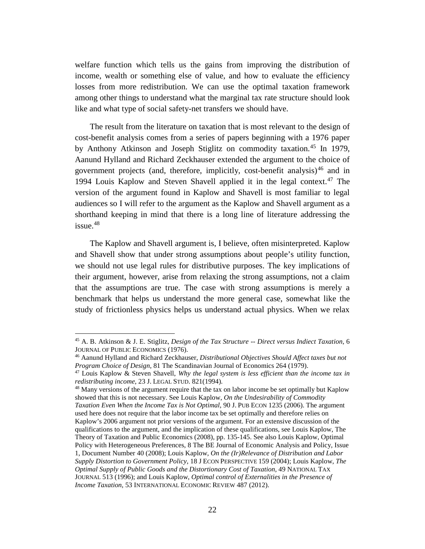welfare function which tells us the gains from improving the distribution of income, wealth or something else of value, and how to evaluate the efficiency losses from more redistribution. We can use the optimal taxation framework among other things to understand what the marginal tax rate structure should look like and what type of social safety-net transfers we should have.

The result from the literature on taxation that is most relevant to the design of cost-benefit analysis comes from a series of papers beginning with a 1976 paper by Anthony Atkinson and Joseph Stiglitz on commodity taxation. [45](#page-23-0) In 1979, Aanund Hylland and Richard Zeckhauser extended the argument to the choice of government projects (and, therefore, implicitly, cost-benefit analysis)<sup>[46](#page-23-1)</sup> and in 1994 Louis Kaplow and Steven Shavell applied it in the legal context.<sup>[47](#page-23-2)</sup> The version of the argument found in Kaplow and Shavell is most familiar to legal audiences so I will refer to the argument as the Kaplow and Shavell argument as a shorthand keeping in mind that there is a long line of literature addressing the issue. [48](#page-23-3)

The Kaplow and Shavell argument is, I believe, often misinterpreted. Kaplow and Shavell show that under strong assumptions about people's utility function, we should not use legal rules for distributive purposes. The key implications of their argument, however, arise from relaxing the strong assumptions, not a claim that the assumptions are true. The case with strong assumptions is merely a benchmark that helps us understand the more general case, somewhat like the study of frictionless physics helps us understand actual physics. When we relax

<span id="page-23-0"></span><sup>45</sup> A. B. Atkinson & J. E. Stiglitz, *Design of the Tax Structure -- Direct versus Indiect Taxation*, 6 JOURNAL OF PUBLIC ECONOMICS (1976).

<span id="page-23-1"></span><sup>46</sup> Aanund Hylland and Richard Zeckhauser, *Distributional Objectives Should Affect taxes but not Program Choice of Design*, 81 The Scandinavian Journal of Economics 264 (1979).

<span id="page-23-2"></span><sup>47</sup> Louis Kaplow & Steven Shavell, *Why the legal system is less efficient than the income tax in redistributing income*, 23 J. LEGAL STUD. 821(1994).

<span id="page-23-3"></span><sup>&</sup>lt;sup>48</sup> Many versions of the argument require that the tax on labor income be set optimally but Kaplow showed that this is not necessary. See Louis Kaplow, *On the Undesirability of Commodity Taxation Even When the Income Tax is Not Optimal*, 90 J. PUB ECON 1235 (2006). The argument used here does not require that the labor income tax be set optimally and therefore relies on Kaplow's 2006 argument not prior versions of the argument. For an extensive discussion of the qualifications to the argument, and the implication of these qualifications, see Louis Kaplow, The Theory of Taxation and Public Economics (2008), pp. 135-145. See also Louis Kaplow, Optimal Policy with Heterogeneous Preferences, 8 The BE Journal of Economic Analysis and Policy, Issue 1, Document Number 40 (2008); Louis Kaplow, *On the (Ir)Relevance of Distribution and Labor Supply Distortion to Government Policy*, 18 J ECON PERSPECTIVE 159 (2004); Louis Kaplow, *The Optimal Supply of Public Goods and the Distortionary Cost of Taxation*, 49 NATIONAL TAX JOURNAL 513 (1996); and Louis Kaplow, *Optimal control of Externalities in the Presence of Income Taxation*, 53 INTERNATIONAL ECONOMIC REVIEW 487 (2012).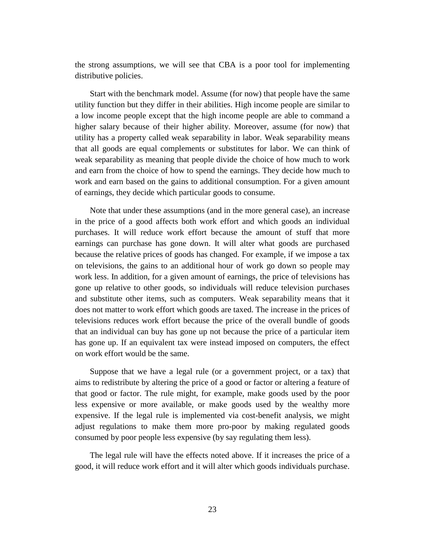the strong assumptions, we will see that CBA is a poor tool for implementing distributive policies.

Start with the benchmark model. Assume (for now) that people have the same utility function but they differ in their abilities. High income people are similar to a low income people except that the high income people are able to command a higher salary because of their higher ability. Moreover, assume (for now) that utility has a property called weak separability in labor. Weak separability means that all goods are equal complements or substitutes for labor. We can think of weak separability as meaning that people divide the choice of how much to work and earn from the choice of how to spend the earnings. They decide how much to work and earn based on the gains to additional consumption. For a given amount of earnings, they decide which particular goods to consume.

Note that under these assumptions (and in the more general case), an increase in the price of a good affects both work effort and which goods an individual purchases. It will reduce work effort because the amount of stuff that more earnings can purchase has gone down. It will alter what goods are purchased because the relative prices of goods has changed. For example, if we impose a tax on televisions, the gains to an additional hour of work go down so people may work less. In addition, for a given amount of earnings, the price of televisions has gone up relative to other goods, so individuals will reduce television purchases and substitute other items, such as computers. Weak separability means that it does not matter to work effort which goods are taxed. The increase in the prices of televisions reduces work effort because the price of the overall bundle of goods that an individual can buy has gone up not because the price of a particular item has gone up. If an equivalent tax were instead imposed on computers, the effect on work effort would be the same.

Suppose that we have a legal rule (or a government project, or a tax) that aims to redistribute by altering the price of a good or factor or altering a feature of that good or factor. The rule might, for example, make goods used by the poor less expensive or more available, or make goods used by the wealthy more expensive. If the legal rule is implemented via cost-benefit analysis, we might adjust regulations to make them more pro-poor by making regulated goods consumed by poor people less expensive (by say regulating them less).

The legal rule will have the effects noted above. If it increases the price of a good, it will reduce work effort and it will alter which goods individuals purchase.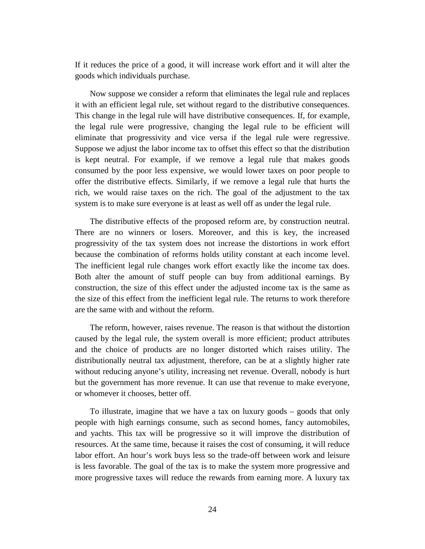If it reduces the price of a good, it will increase work effort and it will alter the goods which individuals purchase.

Now suppose we consider a reform that eliminates the legal rule and replaces it with an efficient legal rule, set without regard to the distributive consequences. This change in the legal rule will have distributive consequences. If, for example, the legal rule were progressive, changing the legal rule to be efficient will eliminate that progressivity and vice versa if the legal rule were regressive. Suppose we adjust the labor income tax to offset this effect so that the distribution is kept neutral. For example, if we remove a legal rule that makes goods consumed by the poor less expensive, we would lower taxes on poor people to offer the distributive effects. Similarly, if we remove a legal rule that hurts the rich, we would raise taxes on the rich. The goal of the adjustment to the tax system is to make sure everyone is at least as well off as under the legal rule.

The distributive effects of the proposed reform are, by construction neutral. There are no winners or losers. Moreover, and this is key, the increased progressivity of the tax system does not increase the distortions in work effort because the combination of reforms holds utility constant at each income level. The inefficient legal rule changes work effort exactly like the income tax does. Both alter the amount of stuff people can buy from additional earnings. By construction, the size of this effect under the adjusted income tax is the same as the size of this effect from the inefficient legal rule. The returns to work therefore are the same with and without the reform.

The reform, however, raises revenue. The reason is that without the distortion caused by the legal rule, the system overall is more efficient; product attributes and the choice of products are no longer distorted which raises utility. The distributionally neutral tax adjustment, therefore, can be at a slightly higher rate without reducing anyone's utility, increasing net revenue. Overall, nobody is hurt but the government has more revenue. It can use that revenue to make everyone, or whomever it chooses, better off.

To illustrate, imagine that we have a tax on luxury goods – goods that only people with high earnings consume, such as second homes, fancy automobiles, and yachts. This tax will be progressive so it will improve the distribution of resources. At the same time, because it raises the cost of consuming, it will reduce labor effort. An hour's work buys less so the trade-off between work and leisure is less favorable. The goal of the tax is to make the system more progressive and more progressive taxes will reduce the rewards from earning more. A luxury tax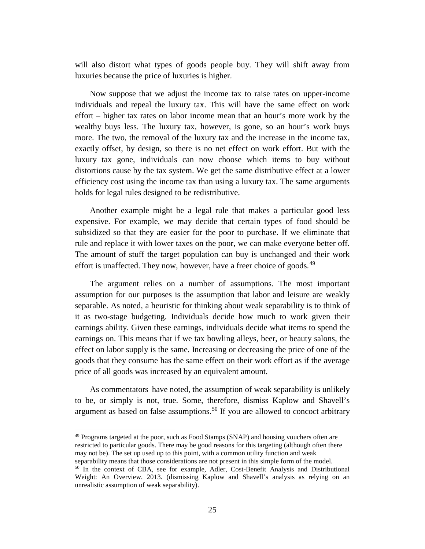will also distort what types of goods people buy. They will shift away from luxuries because the price of luxuries is higher.

Now suppose that we adjust the income tax to raise rates on upper-income individuals and repeal the luxury tax. This will have the same effect on work effort – higher tax rates on labor income mean that an hour's more work by the wealthy buys less. The luxury tax, however, is gone, so an hour's work buys more. The two, the removal of the luxury tax and the increase in the income tax, exactly offset, by design, so there is no net effect on work effort. But with the luxury tax gone, individuals can now choose which items to buy without distortions cause by the tax system. We get the same distributive effect at a lower efficiency cost using the income tax than using a luxury tax. The same arguments holds for legal rules designed to be redistributive.

Another example might be a legal rule that makes a particular good less expensive. For example, we may decide that certain types of food should be subsidized so that they are easier for the poor to purchase. If we eliminate that rule and replace it with lower taxes on the poor, we can make everyone better off. The amount of stuff the target population can buy is unchanged and their work effort is unaffected. They now, however, have a freer choice of goods.<sup>[49](#page-26-0)</sup>

The argument relies on a number of assumptions. The most important assumption for our purposes is the assumption that labor and leisure are weakly separable. As noted, a heuristic for thinking about weak separability is to think of it as two-stage budgeting. Individuals decide how much to work given their earnings ability. Given these earnings, individuals decide what items to spend the earnings on. This means that if we tax bowling alleys, beer, or beauty salons, the effect on labor supply is the same. Increasing or decreasing the price of one of the goods that they consume has the same effect on their work effort as if the average price of all goods was increased by an equivalent amount.

As commentators have noted, the assumption of weak separability is unlikely to be, or simply is not, true. Some, therefore, dismiss Kaplow and Shavell's argument as based on false assumptions. [50](#page-26-1) If you are allowed to concoct arbitrary

<span id="page-26-0"></span><sup>49</sup> Programs targeted at the poor, such as Food Stamps (SNAP) and housing vouchers often are restricted to particular goods. There may be good reasons for this targeting (although often there may not be). The set up used up to this point, with a common utility function and weak separability means that those considerations are not present in this simple form of the model.

<span id="page-26-1"></span><sup>&</sup>lt;sup>50</sup> In the context of CBA, see for example, Adler, Cost-Benefit Analysis and Distributional Weight: An Overview. 2013. (dismissing Kaplow and Shavell's analysis as relying on an unrealistic assumption of weak separability).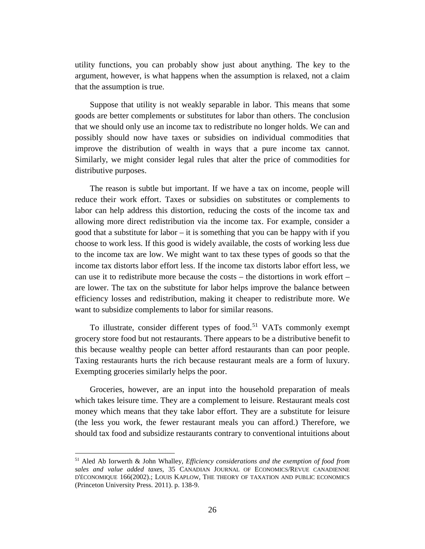utility functions, you can probably show just about anything. The key to the argument, however, is what happens when the assumption is relaxed, not a claim that the assumption is true.

Suppose that utility is not weakly separable in labor. This means that some goods are better complements or substitutes for labor than others. The conclusion that we should only use an income tax to redistribute no longer holds. We can and possibly should now have taxes or subsidies on individual commodities that improve the distribution of wealth in ways that a pure income tax cannot. Similarly, we might consider legal rules that alter the price of commodities for distributive purposes.

The reason is subtle but important. If we have a tax on income, people will reduce their work effort. Taxes or subsidies on substitutes or complements to labor can help address this distortion, reducing the costs of the income tax and allowing more direct redistribution via the income tax. For example, consider a good that a substitute for labor – it is something that you can be happy with if you choose to work less. If this good is widely available, the costs of working less due to the income tax are low. We might want to tax these types of goods so that the income tax distorts labor effort less. If the income tax distorts labor effort less, we can use it to redistribute more because the costs – the distortions in work effort – are lower. The tax on the substitute for labor helps improve the balance between efficiency losses and redistribution, making it cheaper to redistribute more. We want to subsidize complements to labor for similar reasons.

To illustrate, consider different types of food.<sup>[51](#page-27-0)</sup> VATs commonly exempt grocery store food but not restaurants. There appears to be a distributive benefit to this because wealthy people can better afford restaurants than can poor people. Taxing restaurants hurts the rich because restaurant meals are a form of luxury. Exempting groceries similarly helps the poor.

Groceries, however, are an input into the household preparation of meals which takes leisure time. They are a complement to leisure. Restaurant meals cost money which means that they take labor effort. They are a substitute for leisure (the less you work, the fewer restaurant meals you can afford.) Therefore, we should tax food and subsidize restaurants contrary to conventional intuitions about

<span id="page-27-0"></span><sup>51</sup> Aled Ab Iorwerth & John Whalley, *Efficiency considerations and the exemption of food from sales and value added taxes*, 35 CANADIAN JOURNAL OF ECONOMICS/REVUE CANADIENNE D'ÉCONOMIQUE 166(2002).; LOUIS KAPLOW, THE THEORY OF TAXATION AND PUBLIC ECONOMICS (Princeton University Press. 2011). p. 138-9.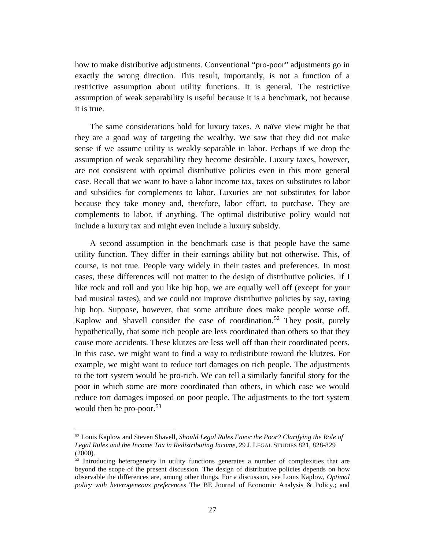how to make distributive adjustments. Conventional "pro-poor" adjustments go in exactly the wrong direction. This result, importantly, is not a function of a restrictive assumption about utility functions. It is general. The restrictive assumption of weak separability is useful because it is a benchmark, not because it is true.

The same considerations hold for luxury taxes. A naïve view might be that they are a good way of targeting the wealthy. We saw that they did not make sense if we assume utility is weakly separable in labor. Perhaps if we drop the assumption of weak separability they become desirable. Luxury taxes, however, are not consistent with optimal distributive policies even in this more general case. Recall that we want to have a labor income tax, taxes on substitutes to labor and subsidies for complements to labor. Luxuries are not substitutes for labor because they take money and, therefore, labor effort, to purchase. They are complements to labor, if anything. The optimal distributive policy would not include a luxury tax and might even include a luxury subsidy.

A second assumption in the benchmark case is that people have the same utility function. They differ in their earnings ability but not otherwise. This, of course, is not true. People vary widely in their tastes and preferences. In most cases, these differences will not matter to the design of distributive policies. If I like rock and roll and you like hip hop, we are equally well off (except for your bad musical tastes), and we could not improve distributive policies by say, taxing hip hop. Suppose, however, that some attribute does make people worse off. Kaplow and Shavell consider the case of coordination.<sup>[52](#page-28-0)</sup> They posit, purely hypothetically, that some rich people are less coordinated than others so that they cause more accidents. These klutzes are less well off than their coordinated peers. In this case, we might want to find a way to redistribute toward the klutzes. For example, we might want to reduce tort damages on rich people. The adjustments to the tort system would be pro-rich. We can tell a similarly fanciful story for the poor in which some are more coordinated than others, in which case we would reduce tort damages imposed on poor people. The adjustments to the tort system would then be pro-poor.  $53$ 

<span id="page-28-0"></span><sup>52</sup> Louis Kaplow and Steven Shavell, *Should Legal Rules Favor the Poor? Clarifying the Role of Legal Rules and the Income Tax in Redistributing Income*, 29 J. LEGAL STUDIES 821, 828-829 (2000).

<span id="page-28-1"></span><sup>&</sup>lt;sup>53</sup> Introducing heterogeneity in utility functions generates a number of complexities that are beyond the scope of the present discussion. The design of distributive policies depends on how observable the differences are, among other things. For a discussion, see Louis Kaplow, *Optimal policy with heterogeneous preferences* The BE Journal of Economic Analysis & Policy.; and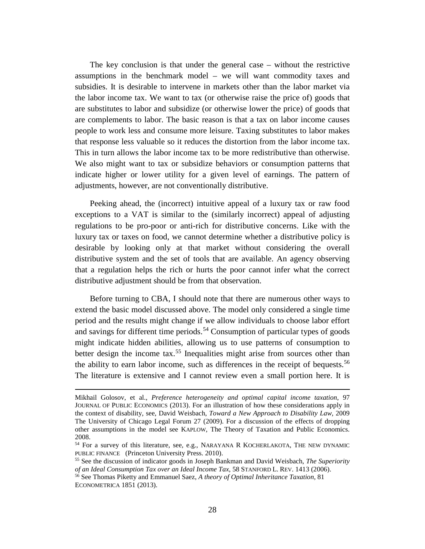The key conclusion is that under the general case – without the restrictive assumptions in the benchmark model – we will want commodity taxes and subsidies. It is desirable to intervene in markets other than the labor market via the labor income tax. We want to tax (or otherwise raise the price of) goods that are substitutes to labor and subsidize (or otherwise lower the price) of goods that are complements to labor. The basic reason is that a tax on labor income causes people to work less and consume more leisure. Taxing substitutes to labor makes that response less valuable so it reduces the distortion from the labor income tax. This in turn allows the labor income tax to be more redistributive than otherwise. We also might want to tax or subsidize behaviors or consumption patterns that indicate higher or lower utility for a given level of earnings. The pattern of adjustments, however, are not conventionally distributive.

Peeking ahead, the (incorrect) intuitive appeal of a luxury tax or raw food exceptions to a VAT is similar to the (similarly incorrect) appeal of adjusting regulations to be pro-poor or anti-rich for distributive concerns. Like with the luxury tax or taxes on food, we cannot determine whether a distributive policy is desirable by looking only at that market without considering the overall distributive system and the set of tools that are available. An agency observing that a regulation helps the rich or hurts the poor cannot infer what the correct distributive adjustment should be from that observation.

Before turning to CBA, I should note that there are numerous other ways to extend the basic model discussed above. The model only considered a single time period and the results might change if we allow individuals to choose labor effort and savings for different time periods.<sup>[54](#page-29-0)</sup> Consumption of particular types of goods might indicate hidden abilities, allowing us to use patterns of consumption to better design the income tax.<sup>[55](#page-29-1)</sup> Inequalities might arise from sources other than the ability to earn labor income, such as differences in the receipt of bequests.<sup>[56](#page-29-2)</sup> The literature is extensive and I cannot review even a small portion here. It is

Mikhail Golosov, et al., *Preference heterogeneity and optimal capital income taxation*, 97 JOURNAL OF PUBLIC ECONOMICS (2013). For an illustration of how these considerations apply in the context of disability, see, David Weisbach, *Toward a New Approach to Disability Law,* 2009 The University of Chicago Legal Forum 27 (2009). For a discussion of the effects of dropping other assumptions in the model see KAPLOW, The Theory of Taxation and Public Economics. 2008.

<span id="page-29-0"></span><sup>54</sup> For a survey of this literature, see, e.g., NARAYANA R KOCHERLAKOTA, THE NEW DYNAMIC PUBLIC FINANCE (Princeton University Press. 2010).

<span id="page-29-1"></span><sup>55</sup> See the discussion of indicator goods in Joseph Bankman and David Weisbach, *The Superiority* 

<span id="page-29-2"></span><sup>&</sup>lt;sup>56</sup> See Thomas Piketty and Emmanuel Saez, *A theory of Optimal Inheritance Taxation*, 81 ECONOMETRICA 1851 (2013).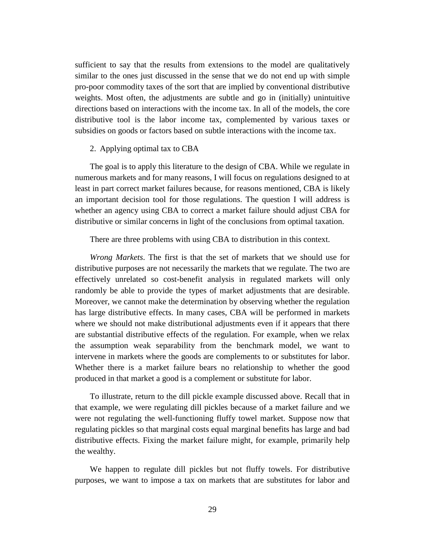sufficient to say that the results from extensions to the model are qualitatively similar to the ones just discussed in the sense that we do not end up with simple pro-poor commodity taxes of the sort that are implied by conventional distributive weights. Most often, the adjustments are subtle and go in (initially) unintuitive directions based on interactions with the income tax. In all of the models, the core distributive tool is the labor income tax, complemented by various taxes or subsidies on goods or factors based on subtle interactions with the income tax.

## 2. Applying optimal tax to CBA

The goal is to apply this literature to the design of CBA. While we regulate in numerous markets and for many reasons, I will focus on regulations designed to at least in part correct market failures because, for reasons mentioned, CBA is likely an important decision tool for those regulations. The question I will address is whether an agency using CBA to correct a market failure should adjust CBA for distributive or similar concerns in light of the conclusions from optimal taxation.

There are three problems with using CBA to distribution in this context.

*Wrong Markets*. The first is that the set of markets that we should use for distributive purposes are not necessarily the markets that we regulate. The two are effectively unrelated so cost-benefit analysis in regulated markets will only randomly be able to provide the types of market adjustments that are desirable. Moreover, we cannot make the determination by observing whether the regulation has large distributive effects. In many cases, CBA will be performed in markets where we should not make distributional adjustments even if it appears that there are substantial distributive effects of the regulation. For example, when we relax the assumption weak separability from the benchmark model, we want to intervene in markets where the goods are complements to or substitutes for labor. Whether there is a market failure bears no relationship to whether the good produced in that market a good is a complement or substitute for labor.

To illustrate, return to the dill pickle example discussed above. Recall that in that example, we were regulating dill pickles because of a market failure and we were not regulating the well-functioning fluffy towel market. Suppose now that regulating pickles so that marginal costs equal marginal benefits has large and bad distributive effects. Fixing the market failure might, for example, primarily help the wealthy.

We happen to regulate dill pickles but not fluffy towels. For distributive purposes, we want to impose a tax on markets that are substitutes for labor and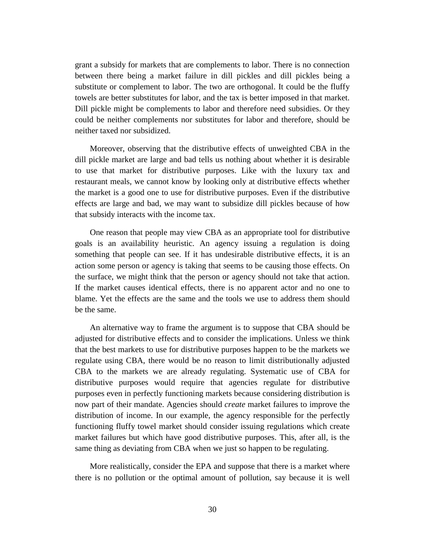grant a subsidy for markets that are complements to labor. There is no connection between there being a market failure in dill pickles and dill pickles being a substitute or complement to labor. The two are orthogonal. It could be the fluffy towels are better substitutes for labor, and the tax is better imposed in that market. Dill pickle might be complements to labor and therefore need subsidies. Or they could be neither complements nor substitutes for labor and therefore, should be neither taxed nor subsidized.

Moreover, observing that the distributive effects of unweighted CBA in the dill pickle market are large and bad tells us nothing about whether it is desirable to use that market for distributive purposes. Like with the luxury tax and restaurant meals, we cannot know by looking only at distributive effects whether the market is a good one to use for distributive purposes. Even if the distributive effects are large and bad, we may want to subsidize dill pickles because of how that subsidy interacts with the income tax.

One reason that people may view CBA as an appropriate tool for distributive goals is an availability heuristic. An agency issuing a regulation is doing something that people can see. If it has undesirable distributive effects, it is an action some person or agency is taking that seems to be causing those effects. On the surface, we might think that the person or agency should not take that action. If the market causes identical effects, there is no apparent actor and no one to blame. Yet the effects are the same and the tools we use to address them should be the same.

An alternative way to frame the argument is to suppose that CBA should be adjusted for distributive effects and to consider the implications. Unless we think that the best markets to use for distributive purposes happen to be the markets we regulate using CBA, there would be no reason to limit distributionally adjusted CBA to the markets we are already regulating. Systematic use of CBA for distributive purposes would require that agencies regulate for distributive purposes even in perfectly functioning markets because considering distribution is now part of their mandate. Agencies should *create* market failures to improve the distribution of income. In our example, the agency responsible for the perfectly functioning fluffy towel market should consider issuing regulations which create market failures but which have good distributive purposes. This, after all, is the same thing as deviating from CBA when we just so happen to be regulating.

More realistically, consider the EPA and suppose that there is a market where there is no pollution or the optimal amount of pollution, say because it is well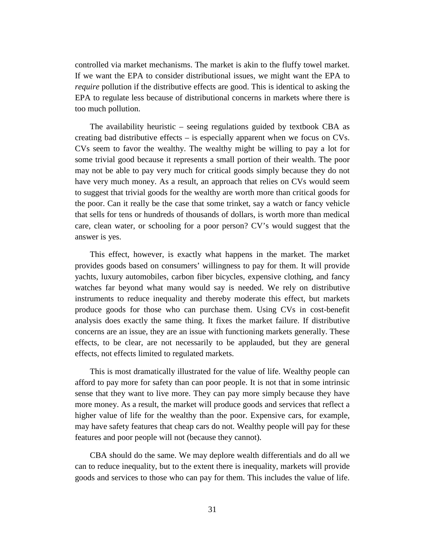controlled via market mechanisms. The market is akin to the fluffy towel market. If we want the EPA to consider distributional issues, we might want the EPA to *require* pollution if the distributive effects are good. This is identical to asking the EPA to regulate less because of distributional concerns in markets where there is too much pollution.

The availability heuristic – seeing regulations guided by textbook CBA as creating bad distributive effects – is especially apparent when we focus on CVs. CVs seem to favor the wealthy. The wealthy might be willing to pay a lot for some trivial good because it represents a small portion of their wealth. The poor may not be able to pay very much for critical goods simply because they do not have very much money. As a result, an approach that relies on CVs would seem to suggest that trivial goods for the wealthy are worth more than critical goods for the poor. Can it really be the case that some trinket, say a watch or fancy vehicle that sells for tens or hundreds of thousands of dollars, is worth more than medical care, clean water, or schooling for a poor person? CV's would suggest that the answer is yes.

This effect, however, is exactly what happens in the market. The market provides goods based on consumers' willingness to pay for them. It will provide yachts, luxury automobiles, carbon fiber bicycles, expensive clothing, and fancy watches far beyond what many would say is needed. We rely on distributive instruments to reduce inequality and thereby moderate this effect, but markets produce goods for those who can purchase them. Using CVs in cost-benefit analysis does exactly the same thing. It fixes the market failure. If distributive concerns are an issue, they are an issue with functioning markets generally. These effects, to be clear, are not necessarily to be applauded, but they are general effects, not effects limited to regulated markets.

This is most dramatically illustrated for the value of life. Wealthy people can afford to pay more for safety than can poor people. It is not that in some intrinsic sense that they want to live more. They can pay more simply because they have more money. As a result, the market will produce goods and services that reflect a higher value of life for the wealthy than the poor. Expensive cars, for example, may have safety features that cheap cars do not. Wealthy people will pay for these features and poor people will not (because they cannot).

CBA should do the same. We may deplore wealth differentials and do all we can to reduce inequality, but to the extent there is inequality, markets will provide goods and services to those who can pay for them. This includes the value of life.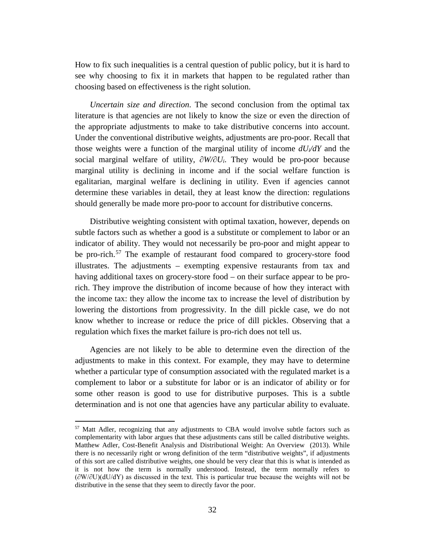How to fix such inequalities is a central question of public policy, but it is hard to see why choosing to fix it in markets that happen to be regulated rather than choosing based on effectiveness is the right solution.

*Uncertain size and direction*. The second conclusion from the optimal tax literature is that agencies are not likely to know the size or even the direction of the appropriate adjustments to make to take distributive concerns into account. Under the conventional distributive weights, adjustments are pro-poor. Recall that those weights were a function of the marginal utility of income  $dU/dY$  and the social marginal welfare of utility, ∂*W/∂Ui*. They would be pro-poor because marginal utility is declining in income and if the social welfare function is egalitarian, marginal welfare is declining in utility. Even if agencies cannot determine these variables in detail, they at least know the direction: regulations should generally be made more pro-poor to account for distributive concerns.

Distributive weighting consistent with optimal taxation, however, depends on subtle factors such as whether a good is a substitute or complement to labor or an indicator of ability. They would not necessarily be pro-poor and might appear to be pro-rich.<sup>[57](#page-33-0)</sup> The example of restaurant food compared to grocery-store food illustrates. The adjustments – exempting expensive restaurants from tax and having additional taxes on grocery-store food – on their surface appear to be prorich. They improve the distribution of income because of how they interact with the income tax: they allow the income tax to increase the level of distribution by lowering the distortions from progressivity. In the dill pickle case, we do not know whether to increase or reduce the price of dill pickles. Observing that a regulation which fixes the market failure is pro-rich does not tell us.

Agencies are not likely to be able to determine even the direction of the adjustments to make in this context. For example, they may have to determine whether a particular type of consumption associated with the regulated market is a complement to labor or a substitute for labor or is an indicator of ability or for some other reason is good to use for distributive purposes. This is a subtle determination and is not one that agencies have any particular ability to evaluate.

<span id="page-33-0"></span><sup>57</sup> Matt Adler, recognizing that any adjustments to CBA would involve subtle factors such as complementarity with labor argues that these adjustments cans still be called distributive weights. Matthew Adler, Cost-Benefit Analysis and Distributional Weight: An Overview (2013). While there is no necessarily right or wrong definition of the term "distributive weights", if adjustments of this sort are called distributive weights, one should be very clear that this is what is intended as it is not how the term is normally understood. Instead, the term normally refers to (∂W/∂U)(dU/dY) as discussed in the text. This is particular true because the weights will not be distributive in the sense that they seem to directly favor the poor.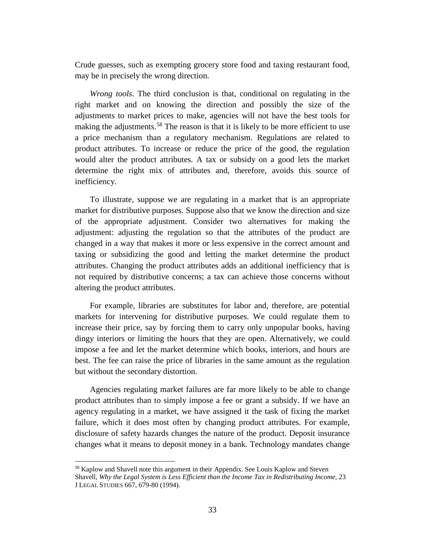Crude guesses, such as exempting grocery store food and taxing restaurant food, may be in precisely the wrong direction.

*Wrong tools*. The third conclusion is that, conditional on regulating in the right market and on knowing the direction and possibly the size of the adjustments to market prices to make, agencies will not have the best tools for making the adjustments.<sup>[58](#page-34-0)</sup> The reason is that it is likely to be more efficient to use a price mechanism than a regulatory mechanism. Regulations are related to product attributes. To increase or reduce the price of the good, the regulation would alter the product attributes. A tax or subsidy on a good lets the market determine the right mix of attributes and, therefore, avoids this source of inefficiency.

To illustrate, suppose we are regulating in a market that is an appropriate market for distributive purposes. Suppose also that we know the direction and size of the appropriate adjustment. Consider two alternatives for making the adjustment: adjusting the regulation so that the attributes of the product are changed in a way that makes it more or less expensive in the correct amount and taxing or subsidizing the good and letting the market determine the product attributes. Changing the product attributes adds an additional inefficiency that is not required by distributive concerns; a tax can achieve those concerns without altering the product attributes.

For example, libraries are substitutes for labor and, therefore, are potential markets for intervening for distributive purposes. We could regulate them to increase their price, say by forcing them to carry only unpopular books, having dingy interiors or limiting the hours that they are open. Alternatively, we could impose a fee and let the market determine which books, interiors, and hours are best. The fee can raise the price of libraries in the same amount as the regulation but without the secondary distortion.

Agencies regulating market failures are far more likely to be able to change product attributes than to simply impose a fee or grant a subsidy. If we have an agency regulating in a market, we have assigned it the task of fixing the market failure, which it does most often by changing product attributes. For example, disclosure of safety hazards changes the nature of the product. Deposit insurance changes what it means to deposit money in a bank. Technology mandates change

<span id="page-34-0"></span><sup>&</sup>lt;sup>58</sup> Kaplow and Shavell note this argument in their Appendix. See Louis Kaplow and Steven Shavell, *Why the Legal System is Less Efficient than the Income Tax in Redistributing Income*, 23 J LEGAL STUDIES 667, 679-80 (1994).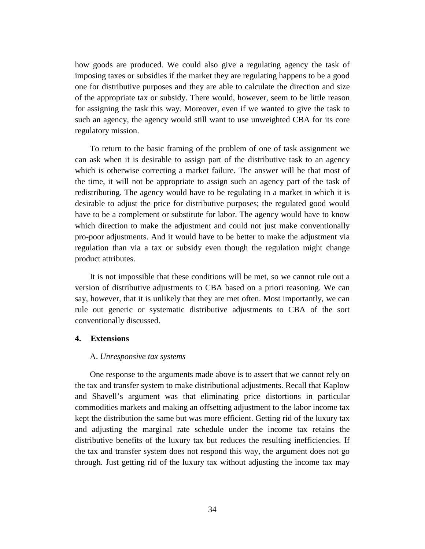how goods are produced. We could also give a regulating agency the task of imposing taxes or subsidies if the market they are regulating happens to be a good one for distributive purposes and they are able to calculate the direction and size of the appropriate tax or subsidy. There would, however, seem to be little reason for assigning the task this way. Moreover, even if we wanted to give the task to such an agency, the agency would still want to use unweighted CBA for its core regulatory mission.

To return to the basic framing of the problem of one of task assignment we can ask when it is desirable to assign part of the distributive task to an agency which is otherwise correcting a market failure. The answer will be that most of the time, it will not be appropriate to assign such an agency part of the task of redistributing. The agency would have to be regulating in a market in which it is desirable to adjust the price for distributive purposes; the regulated good would have to be a complement or substitute for labor. The agency would have to know which direction to make the adjustment and could not just make conventionally pro-poor adjustments. And it would have to be better to make the adjustment via regulation than via a tax or subsidy even though the regulation might change product attributes.

It is not impossible that these conditions will be met, so we cannot rule out a version of distributive adjustments to CBA based on a priori reasoning. We can say, however, that it is unlikely that they are met often. Most importantly, we can rule out generic or systematic distributive adjustments to CBA of the sort conventionally discussed.

#### **4. Extensions**

#### A. *Unresponsive tax systems*

One response to the arguments made above is to assert that we cannot rely on the tax and transfer system to make distributional adjustments. Recall that Kaplow and Shavell's argument was that eliminating price distortions in particular commodities markets and making an offsetting adjustment to the labor income tax kept the distribution the same but was more efficient. Getting rid of the luxury tax and adjusting the marginal rate schedule under the income tax retains the distributive benefits of the luxury tax but reduces the resulting inefficiencies. If the tax and transfer system does not respond this way, the argument does not go through. Just getting rid of the luxury tax without adjusting the income tax may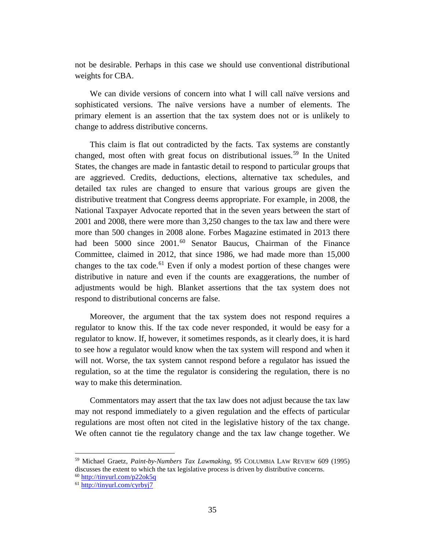not be desirable. Perhaps in this case we should use conventional distributional weights for CBA.

We can divide versions of concern into what I will call naïve versions and sophisticated versions. The naïve versions have a number of elements. The primary element is an assertion that the tax system does not or is unlikely to change to address distributive concerns.

This claim is flat out contradicted by the facts. Tax systems are constantly changed, most often with great focus on distributional issues.<sup>[59](#page-36-0)</sup> In the United States, the changes are made in fantastic detail to respond to particular groups that are aggrieved. Credits, deductions, elections, alternative tax schedules, and detailed tax rules are changed to ensure that various groups are given the distributive treatment that Congress deems appropriate. For example, in 2008, the National Taxpayer Advocate reported that in the seven years between the start of 2001 and 2008, there were more than 3,250 changes to the tax law and there were more than 500 changes in 2008 alone. Forbes Magazine estimated in 2013 there had been 5000 since 2001.<sup>[60](#page-36-1)</sup> Senator Baucus, Chairman of the Finance Committee, claimed in 2012, that since 1986, we had made more than 15,000 changes to the tax code.<sup>[61](#page-36-2)</sup> Even if only a modest portion of these changes were distributive in nature and even if the counts are exaggerations, the number of adjustments would be high. Blanket assertions that the tax system does not respond to distributional concerns are false.

Moreover, the argument that the tax system does not respond requires a regulator to know this. If the tax code never responded, it would be easy for a regulator to know. If, however, it sometimes responds, as it clearly does, it is hard to see how a regulator would know when the tax system will respond and when it will not. Worse, the tax system cannot respond before a regulator has issued the regulation, so at the time the regulator is considering the regulation, there is no way to make this determination.

Commentators may assert that the tax law does not adjust because the tax law may not respond immediately to a given regulation and the effects of particular regulations are most often not cited in the legislative history of the tax change. We often cannot tie the regulatory change and the tax law change together. We

<span id="page-36-0"></span><sup>59</sup> Michael Graetz, *Paint-by-Numbers Tax Lawmaking*, 95 COLUMBIA LAW REVIEW 609 (1995) discusses the extent to which the tax legislative process is driven by distributive concerns.<br><sup>60</sup> http://tinyurl.com/p22ok5q

<span id="page-36-2"></span><span id="page-36-1"></span> $61$  <http://tinyurl.com/cyrbyj7>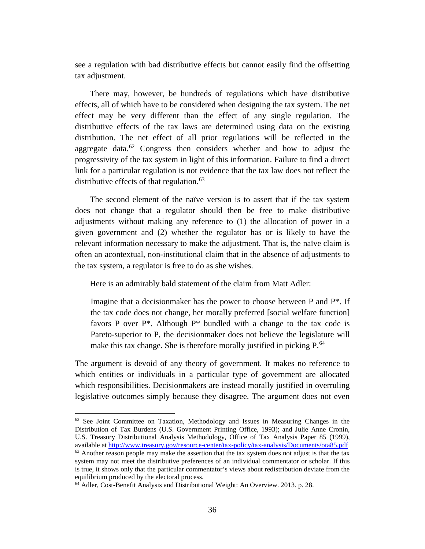see a regulation with bad distributive effects but cannot easily find the offsetting tax adjustment.

There may, however, be hundreds of regulations which have distributive effects, all of which have to be considered when designing the tax system. The net effect may be very different than the effect of any single regulation. The distributive effects of the tax laws are determined using data on the existing distribution. The net effect of all prior regulations will be reflected in the aggregate data.<sup>[62](#page-37-0)</sup> Congress then considers whether and how to adjust the progressivity of the tax system in light of this information. Failure to find a direct link for a particular regulation is not evidence that the tax law does not reflect the distributive effects of that regulation. $63$ 

The second element of the naïve version is to assert that if the tax system does not change that a regulator should then be free to make distributive adjustments without making any reference to (1) the allocation of power in a given government and (2) whether the regulator has or is likely to have the relevant information necessary to make the adjustment. That is, the naïve claim is often an acontextual, non-institutional claim that in the absence of adjustments to the tax system, a regulator is free to do as she wishes.

Here is an admirably bald statement of the claim from Matt Adler:

Imagine that a decisionmaker has the power to choose between P and  $P^*$ . If the tax code does not change, her morally preferred [social welfare function] favors P over  $P^*$ . Although  $P^*$  bundled with a change to the tax code is Pareto-superior to P, the decisionmaker does not believe the legislature will make this tax change. She is therefore morally justified in picking  $P^{64}$  $P^{64}$  $P^{64}$ .

The argument is devoid of any theory of government. It makes no reference to which entities or individuals in a particular type of government are allocated which responsibilities. Decisionmakers are instead morally justified in overruling legislative outcomes simply because they disagree. The argument does not even

<span id="page-37-1"></span><span id="page-37-0"></span> $62$  See Joint Committee on Taxation, Methodology and Issues in Measuring Changes in the Distribution of Tax Burdens (U.S. Government Printing Office, 1993); and Julie Anne Cronin, U.S. Treasury Distributional Analysis Methodology, Office of Tax Analysis Paper 85 (1999), available at<http://www.treasury.gov/resource-center/tax-policy/tax-analysis/Documents/ota85.pdf>  $63$  Another reason people may make the assertion that the tax system does not adjust is that the tax system may not meet the distributive preferences of an individual commentator or scholar. If this is true, it shows only that the particular commentator's views about redistribution deviate from the equilibrium produced by the electoral process.

<span id="page-37-2"></span><sup>64</sup> Adler, Cost-Benefit Analysis and Distributional Weight: An Overview. 2013. p. 28.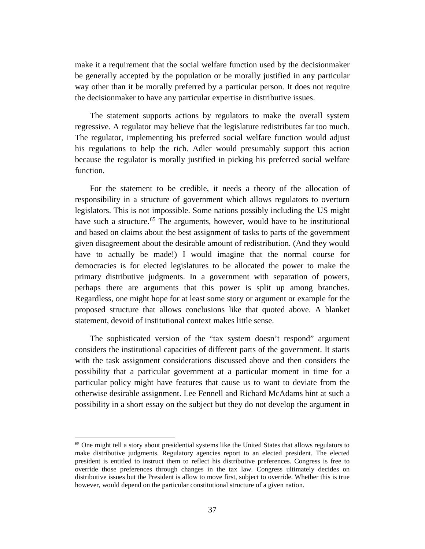make it a requirement that the social welfare function used by the decisionmaker be generally accepted by the population or be morally justified in any particular way other than it be morally preferred by a particular person. It does not require the decisionmaker to have any particular expertise in distributive issues.

The statement supports actions by regulators to make the overall system regressive. A regulator may believe that the legislature redistributes far too much. The regulator, implementing his preferred social welfare function would adjust his regulations to help the rich. Adler would presumably support this action because the regulator is morally justified in picking his preferred social welfare function.

For the statement to be credible, it needs a theory of the allocation of responsibility in a structure of government which allows regulators to overturn legislators. This is not impossible. Some nations possibly including the US might have such a structure.<sup>[65](#page-38-0)</sup> The arguments, however, would have to be institutional and based on claims about the best assignment of tasks to parts of the government given disagreement about the desirable amount of redistribution. (And they would have to actually be made!) I would imagine that the normal course for democracies is for elected legislatures to be allocated the power to make the primary distributive judgments. In a government with separation of powers, perhaps there are arguments that this power is split up among branches. Regardless, one might hope for at least some story or argument or example for the proposed structure that allows conclusions like that quoted above. A blanket statement, devoid of institutional context makes little sense.

The sophisticated version of the "tax system doesn't respond" argument considers the institutional capacities of different parts of the government. It starts with the task assignment considerations discussed above and then considers the possibility that a particular government at a particular moment in time for a particular policy might have features that cause us to want to deviate from the otherwise desirable assignment. Lee Fennell and Richard McAdams hint at such a possibility in a short essay on the subject but they do not develop the argument in

<span id="page-38-0"></span><sup>&</sup>lt;sup>65</sup> One might tell a story about presidential systems like the United States that allows regulators to make distributive judgments. Regulatory agencies report to an elected president. The elected president is entitled to instruct them to reflect his distributive preferences. Congress is free to override those preferences through changes in the tax law. Congress ultimately decides on distributive issues but the President is allow to move first, subject to override. Whether this is true however, would depend on the particular constitutional structure of a given nation.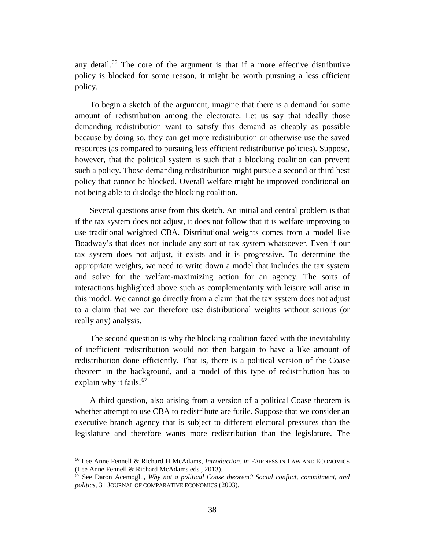any detail.<sup>[66](#page-39-0)</sup> The core of the argument is that if a more effective distributive policy is blocked for some reason, it might be worth pursuing a less efficient policy.

To begin a sketch of the argument, imagine that there is a demand for some amount of redistribution among the electorate. Let us say that ideally those demanding redistribution want to satisfy this demand as cheaply as possible because by doing so, they can get more redistribution or otherwise use the saved resources (as compared to pursuing less efficient redistributive policies). Suppose, however, that the political system is such that a blocking coalition can prevent such a policy. Those demanding redistribution might pursue a second or third best policy that cannot be blocked. Overall welfare might be improved conditional on not being able to dislodge the blocking coalition.

Several questions arise from this sketch. An initial and central problem is that if the tax system does not adjust, it does not follow that it is welfare improving to use traditional weighted CBA. Distributional weights comes from a model like Boadway's that does not include any sort of tax system whatsoever. Even if our tax system does not adjust, it exists and it is progressive. To determine the appropriate weights, we need to write down a model that includes the tax system and solve for the welfare-maximizing action for an agency. The sorts of interactions highlighted above such as complementarity with leisure will arise in this model. We cannot go directly from a claim that the tax system does not adjust to a claim that we can therefore use distributional weights without serious (or really any) analysis.

The second question is why the blocking coalition faced with the inevitability of inefficient redistribution would not then bargain to have a like amount of redistribution done efficiently. That is, there is a political version of the Coase theorem in the background, and a model of this type of redistribution has to explain why it fails.<sup>[67](#page-39-1)</sup>

A third question, also arising from a version of a political Coase theorem is whether attempt to use CBA to redistribute are futile. Suppose that we consider an executive branch agency that is subject to different electoral pressures than the legislature and therefore wants more redistribution than the legislature. The

<span id="page-39-0"></span><sup>66</sup> Lee Anne Fennell & Richard H McAdams, *Introduction*, *in* FAIRNESS IN LAW AND ECONOMICS (Lee Anne Fennell & Richard McAdams eds., 2013).

<span id="page-39-1"></span><sup>67</sup> See Daron Acemoglu, *Why not a political Coase theorem? Social conflict, commitment, and politics*, 31 JOURNAL OF COMPARATIVE ECONOMICS (2003).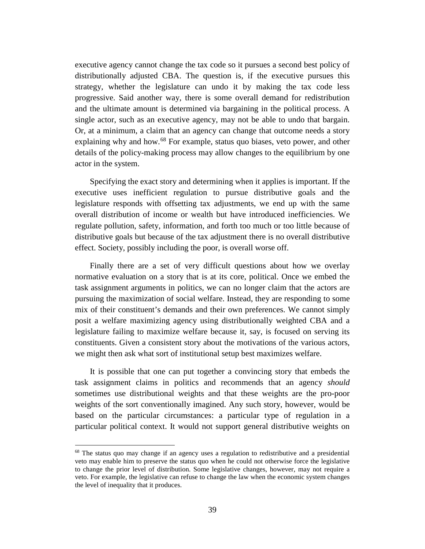executive agency cannot change the tax code so it pursues a second best policy of distributionally adjusted CBA. The question is, if the executive pursues this strategy, whether the legislature can undo it by making the tax code less progressive. Said another way, there is some overall demand for redistribution and the ultimate amount is determined via bargaining in the political process. A single actor, such as an executive agency, may not be able to undo that bargain. Or, at a minimum, a claim that an agency can change that outcome needs a story explaining why and how.<sup>[68](#page-40-0)</sup> For example, status quo biases, veto power, and other details of the policy-making process may allow changes to the equilibrium by one actor in the system.

Specifying the exact story and determining when it applies is important. If the executive uses inefficient regulation to pursue distributive goals and the legislature responds with offsetting tax adjustments, we end up with the same overall distribution of income or wealth but have introduced inefficiencies. We regulate pollution, safety, information, and forth too much or too little because of distributive goals but because of the tax adjustment there is no overall distributive effect. Society, possibly including the poor, is overall worse off.

Finally there are a set of very difficult questions about how we overlay normative evaluation on a story that is at its core, political. Once we embed the task assignment arguments in politics, we can no longer claim that the actors are pursuing the maximization of social welfare. Instead, they are responding to some mix of their constituent's demands and their own preferences. We cannot simply posit a welfare maximizing agency using distributionally weighted CBA and a legislature failing to maximize welfare because it, say, is focused on serving its constituents. Given a consistent story about the motivations of the various actors, we might then ask what sort of institutional setup best maximizes welfare.

It is possible that one can put together a convincing story that embeds the task assignment claims in politics and recommends that an agency *should* sometimes use distributional weights and that these weights are the pro-poor weights of the sort conventionally imagined. Any such story, however, would be based on the particular circumstances: a particular type of regulation in a particular political context. It would not support general distributive weights on

<span id="page-40-0"></span><sup>&</sup>lt;sup>68</sup> The status quo may change if an agency uses a regulation to redistributive and a presidential veto may enable him to preserve the status quo when he could not otherwise force the legislative to change the prior level of distribution. Some legislative changes, however, may not require a veto. For example, the legislative can refuse to change the law when the economic system changes the level of inequality that it produces.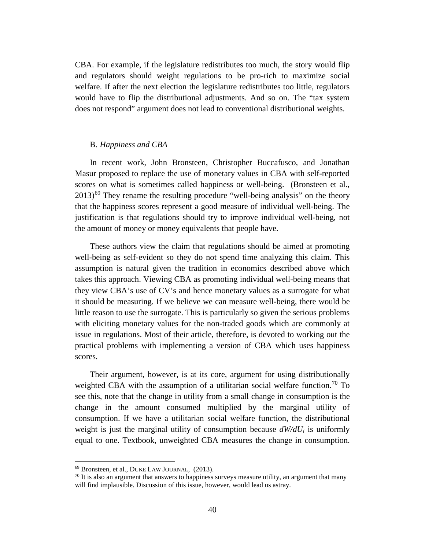CBA. For example, if the legislature redistributes too much, the story would flip and regulators should weight regulations to be pro-rich to maximize social welfare. If after the next election the legislature redistributes too little, regulators would have to flip the distributional adjustments. And so on. The "tax system does not respond" argument does not lead to conventional distributional weights.

#### B. *Happiness and CBA*

In recent work, John Bronsteen, Christopher Buccafusco, and Jonathan Masur proposed to replace the use of monetary values in CBA with self-reported scores on what is sometimes called happiness or well-being. (Bronsteen et al.,  $2013$ <sup>[69](#page-41-0)</sup> They rename the resulting procedure "well-being analysis" on the theory that the happiness scores represent a good measure of individual well-being. The justification is that regulations should try to improve individual well-being, not the amount of money or money equivalents that people have.

These authors view the claim that regulations should be aimed at promoting well-being as self-evident so they do not spend time analyzing this claim. This assumption is natural given the tradition in economics described above which takes this approach. Viewing CBA as promoting individual well-being means that they view CBA's use of CV's and hence monetary values as a surrogate for what it should be measuring. If we believe we can measure well-being, there would be little reason to use the surrogate. This is particularly so given the serious problems with eliciting monetary values for the non-traded goods which are commonly at issue in regulations. Most of their article, therefore, is devoted to working out the practical problems with implementing a version of CBA which uses happiness scores.

Their argument, however, is at its core, argument for using distributionally weighted CBA with the assumption of a utilitarian social welfare function.<sup>[70](#page-41-1)</sup> To see this, note that the change in utility from a small change in consumption is the change in the amount consumed multiplied by the marginal utility of consumption. If we have a utilitarian social welfare function, the distributional weight is just the marginal utility of consumption because  $dW/dU_i$  is uniformly equal to one. Textbook, unweighted CBA measures the change in consumption.

<span id="page-41-0"></span><sup>69</sup> Bronsteen, et al., DUKE LAW JOURNAL, (2013).

<span id="page-41-1"></span> $\frac{70 \text{ It}}{20 \text{ ft}}$  is also an argument that answers to happiness surveys measure utility, an argument that many will find implausible. Discussion of this issue, however, would lead us astray.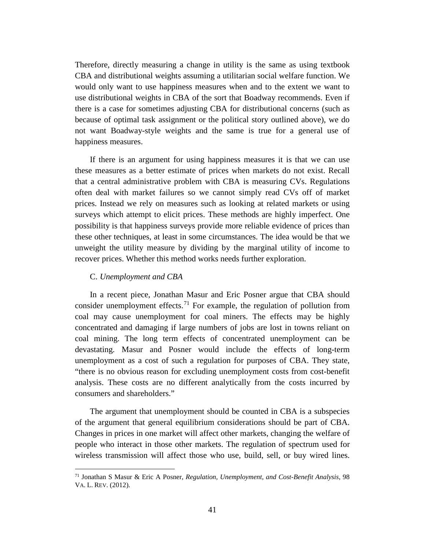Therefore, directly measuring a change in utility is the same as using textbook CBA and distributional weights assuming a utilitarian social welfare function. We would only want to use happiness measures when and to the extent we want to use distributional weights in CBA of the sort that Boadway recommends. Even if there is a case for sometimes adjusting CBA for distributional concerns (such as because of optimal task assignment or the political story outlined above), we do not want Boadway-style weights and the same is true for a general use of happiness measures.

If there is an argument for using happiness measures it is that we can use these measures as a better estimate of prices when markets do not exist. Recall that a central administrative problem with CBA is measuring CVs. Regulations often deal with market failures so we cannot simply read CVs off of market prices. Instead we rely on measures such as looking at related markets or using surveys which attempt to elicit prices. These methods are highly imperfect. One possibility is that happiness surveys provide more reliable evidence of prices than these other techniques, at least in some circumstances. The idea would be that we unweight the utility measure by dividing by the marginal utility of income to recover prices. Whether this method works needs further exploration.

#### C. *Unemployment and CBA*

 $\overline{a}$ 

In a recent piece, Jonathan Masur and Eric Posner argue that CBA should consider unemployment effects.<sup>[71](#page-42-0)</sup> For example, the regulation of pollution from coal may cause unemployment for coal miners. The effects may be highly concentrated and damaging if large numbers of jobs are lost in towns reliant on coal mining. The long term effects of concentrated unemployment can be devastating. Masur and Posner would include the effects of long-term unemployment as a cost of such a regulation for purposes of CBA. They state, "there is no obvious reason for excluding unemployment costs from cost-benefit analysis. These costs are no different analytically from the costs incurred by consumers and shareholders."

The argument that unemployment should be counted in CBA is a subspecies of the argument that general equilibrium considerations should be part of CBA. Changes in prices in one market will affect other markets, changing the welfare of people who interact in those other markets. The regulation of spectrum used for wireless transmission will affect those who use, build, sell, or buy wired lines.

<span id="page-42-0"></span><sup>71</sup> Jonathan S Masur & Eric A Posner, *Regulation, Unemployment, and Cost-Benefit Analysis*, 98 VA. L. REV. (2012).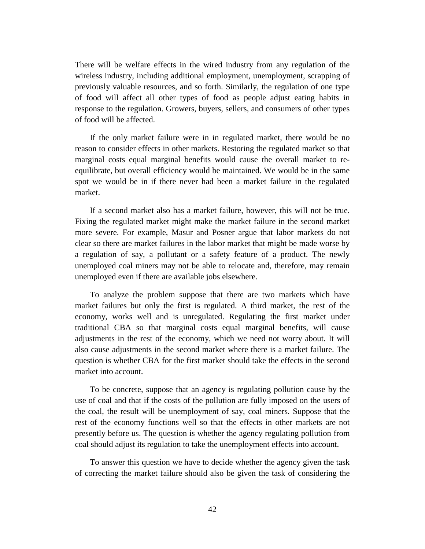There will be welfare effects in the wired industry from any regulation of the wireless industry, including additional employment, unemployment, scrapping of previously valuable resources, and so forth. Similarly, the regulation of one type of food will affect all other types of food as people adjust eating habits in response to the regulation. Growers, buyers, sellers, and consumers of other types of food will be affected.

If the only market failure were in in regulated market, there would be no reason to consider effects in other markets. Restoring the regulated market so that marginal costs equal marginal benefits would cause the overall market to reequilibrate, but overall efficiency would be maintained. We would be in the same spot we would be in if there never had been a market failure in the regulated market.

If a second market also has a market failure, however, this will not be true. Fixing the regulated market might make the market failure in the second market more severe. For example, Masur and Posner argue that labor markets do not clear so there are market failures in the labor market that might be made worse by a regulation of say, a pollutant or a safety feature of a product. The newly unemployed coal miners may not be able to relocate and, therefore, may remain unemployed even if there are available jobs elsewhere.

To analyze the problem suppose that there are two markets which have market failures but only the first is regulated. A third market, the rest of the economy, works well and is unregulated. Regulating the first market under traditional CBA so that marginal costs equal marginal benefits, will cause adjustments in the rest of the economy, which we need not worry about. It will also cause adjustments in the second market where there is a market failure. The question is whether CBA for the first market should take the effects in the second market into account.

To be concrete, suppose that an agency is regulating pollution cause by the use of coal and that if the costs of the pollution are fully imposed on the users of the coal, the result will be unemployment of say, coal miners. Suppose that the rest of the economy functions well so that the effects in other markets are not presently before us. The question is whether the agency regulating pollution from coal should adjust its regulation to take the unemployment effects into account.

To answer this question we have to decide whether the agency given the task of correcting the market failure should also be given the task of considering the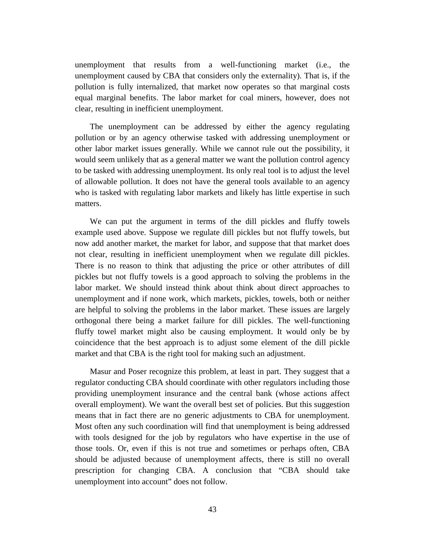unemployment that results from a well-functioning market (i.e., the unemployment caused by CBA that considers only the externality). That is, if the pollution is fully internalized, that market now operates so that marginal costs equal marginal benefits. The labor market for coal miners, however, does not clear, resulting in inefficient unemployment.

The unemployment can be addressed by either the agency regulating pollution or by an agency otherwise tasked with addressing unemployment or other labor market issues generally. While we cannot rule out the possibility, it would seem unlikely that as a general matter we want the pollution control agency to be tasked with addressing unemployment. Its only real tool is to adjust the level of allowable pollution. It does not have the general tools available to an agency who is tasked with regulating labor markets and likely has little expertise in such matters.

We can put the argument in terms of the dill pickles and fluffy towels example used above. Suppose we regulate dill pickles but not fluffy towels, but now add another market, the market for labor, and suppose that that market does not clear, resulting in inefficient unemployment when we regulate dill pickles. There is no reason to think that adjusting the price or other attributes of dill pickles but not fluffy towels is a good approach to solving the problems in the labor market. We should instead think about think about direct approaches to unemployment and if none work, which markets, pickles, towels, both or neither are helpful to solving the problems in the labor market. These issues are largely orthogonal there being a market failure for dill pickles. The well-functioning fluffy towel market might also be causing employment. It would only be by coincidence that the best approach is to adjust some element of the dill pickle market and that CBA is the right tool for making such an adjustment.

Masur and Poser recognize this problem, at least in part. They suggest that a regulator conducting CBA should coordinate with other regulators including those providing unemployment insurance and the central bank (whose actions affect overall employment). We want the overall best set of policies. But this suggestion means that in fact there are no generic adjustments to CBA for unemployment. Most often any such coordination will find that unemployment is being addressed with tools designed for the job by regulators who have expertise in the use of those tools. Or, even if this is not true and sometimes or perhaps often, CBA should be adjusted because of unemployment affects, there is still no overall prescription for changing CBA. A conclusion that "CBA should take unemployment into account" does not follow.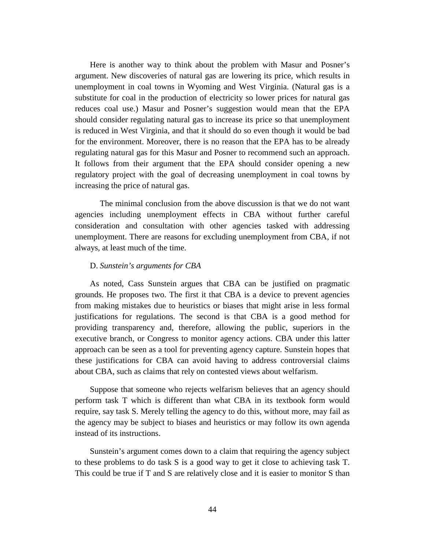Here is another way to think about the problem with Masur and Posner's argument. New discoveries of natural gas are lowering its price, which results in unemployment in coal towns in Wyoming and West Virginia. (Natural gas is a substitute for coal in the production of electricity so lower prices for natural gas reduces coal use.) Masur and Posner's suggestion would mean that the EPA should consider regulating natural gas to increase its price so that unemployment is reduced in West Virginia, and that it should do so even though it would be bad for the environment. Moreover, there is no reason that the EPA has to be already regulating natural gas for this Masur and Posner to recommend such an approach. It follows from their argument that the EPA should consider opening a new regulatory project with the goal of decreasing unemployment in coal towns by increasing the price of natural gas.

The minimal conclusion from the above discussion is that we do not want agencies including unemployment effects in CBA without further careful consideration and consultation with other agencies tasked with addressing unemployment. There are reasons for excluding unemployment from CBA, if not always, at least much of the time.

#### D. *Sunstein's arguments for CBA*

As noted, Cass Sunstein argues that CBA can be justified on pragmatic grounds. He proposes two. The first it that CBA is a device to prevent agencies from making mistakes due to heuristics or biases that might arise in less formal justifications for regulations. The second is that CBA is a good method for providing transparency and, therefore, allowing the public, superiors in the executive branch, or Congress to monitor agency actions. CBA under this latter approach can be seen as a tool for preventing agency capture. Sunstein hopes that these justifications for CBA can avoid having to address controversial claims about CBA, such as claims that rely on contested views about welfarism.

Suppose that someone who rejects welfarism believes that an agency should perform task T which is different than what CBA in its textbook form would require, say task S. Merely telling the agency to do this, without more, may fail as the agency may be subject to biases and heuristics or may follow its own agenda instead of its instructions.

Sunstein's argument comes down to a claim that requiring the agency subject to these problems to do task S is a good way to get it close to achieving task T. This could be true if T and S are relatively close and it is easier to monitor S than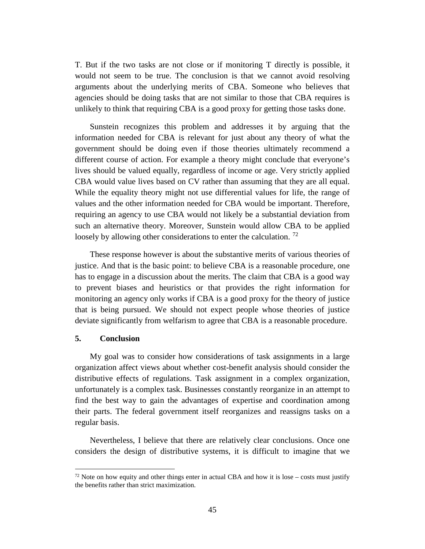T. But if the two tasks are not close or if monitoring T directly is possible, it would not seem to be true. The conclusion is that we cannot avoid resolving arguments about the underlying merits of CBA. Someone who believes that agencies should be doing tasks that are not similar to those that CBA requires is unlikely to think that requiring CBA is a good proxy for getting those tasks done.

Sunstein recognizes this problem and addresses it by arguing that the information needed for CBA is relevant for just about any theory of what the government should be doing even if those theories ultimately recommend a different course of action. For example a theory might conclude that everyone's lives should be valued equally, regardless of income or age. Very strictly applied CBA would value lives based on CV rather than assuming that they are all equal. While the equality theory might not use differential values for life, the range of values and the other information needed for CBA would be important. Therefore, requiring an agency to use CBA would not likely be a substantial deviation from such an alternative theory. Moreover, Sunstein would allow CBA to be applied loosely by allowing other considerations to enter the calculation.  $^{72}$  $^{72}$  $^{72}$ 

These response however is about the substantive merits of various theories of justice. And that is the basic point: to believe CBA is a reasonable procedure, one has to engage in a discussion about the merits. The claim that CBA is a good way to prevent biases and heuristics or that provides the right information for monitoring an agency only works if CBA is a good proxy for the theory of justice that is being pursued. We should not expect people whose theories of justice deviate significantly from welfarism to agree that CBA is a reasonable procedure.

#### **5. Conclusion**

 $\overline{a}$ 

My goal was to consider how considerations of task assignments in a large organization affect views about whether cost-benefit analysis should consider the distributive effects of regulations. Task assignment in a complex organization, unfortunately is a complex task. Businesses constantly reorganize in an attempt to find the best way to gain the advantages of expertise and coordination among their parts. The federal government itself reorganizes and reassigns tasks on a regular basis.

Nevertheless, I believe that there are relatively clear conclusions. Once one considers the design of distributive systems, it is difficult to imagine that we

<span id="page-46-0"></span> $72$  Note on how equity and other things enter in actual CBA and how it is lose – costs must justify the benefits rather than strict maximization.